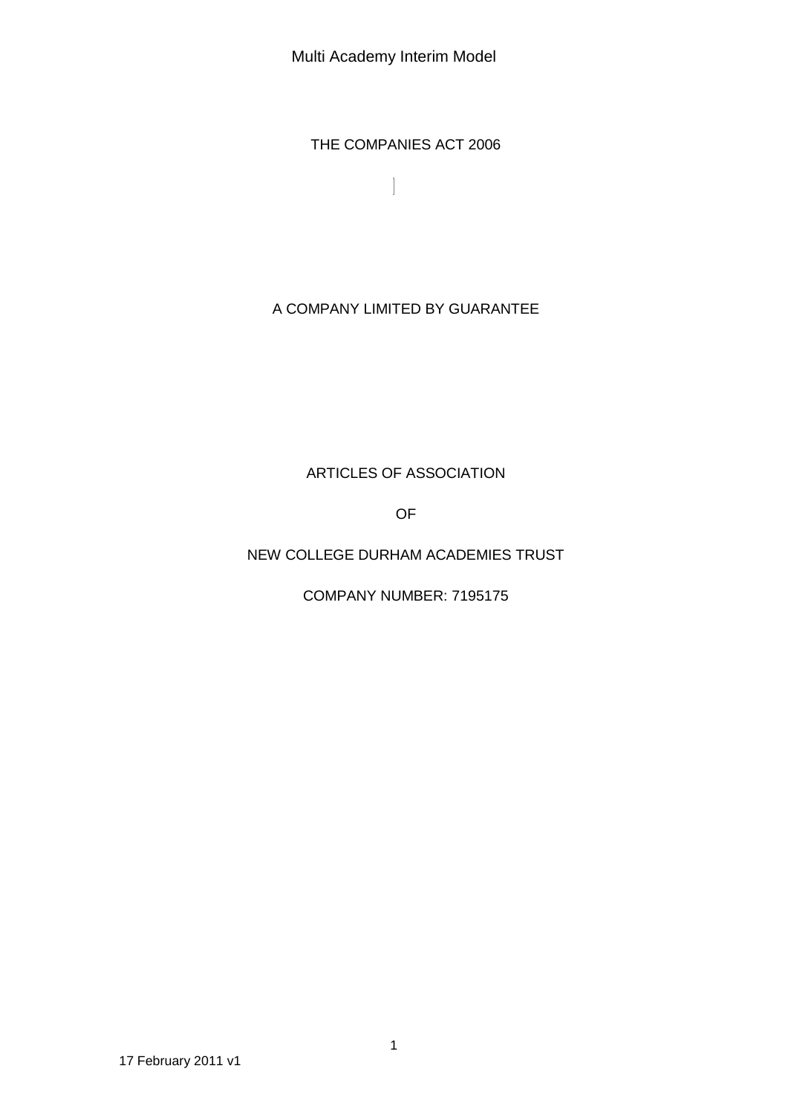Multi Academy Interim Model

THE COMPANIES ACT 2006

 $\overline{\phantom{a}}$ 

A COMPANY LIMITED BY GUARANTEE

# ARTICLES OF ASSOCIATION

OF

# NEW COLLEGE DURHAM ACADEMIES TRUST

COMPANY NUMBER: 7195175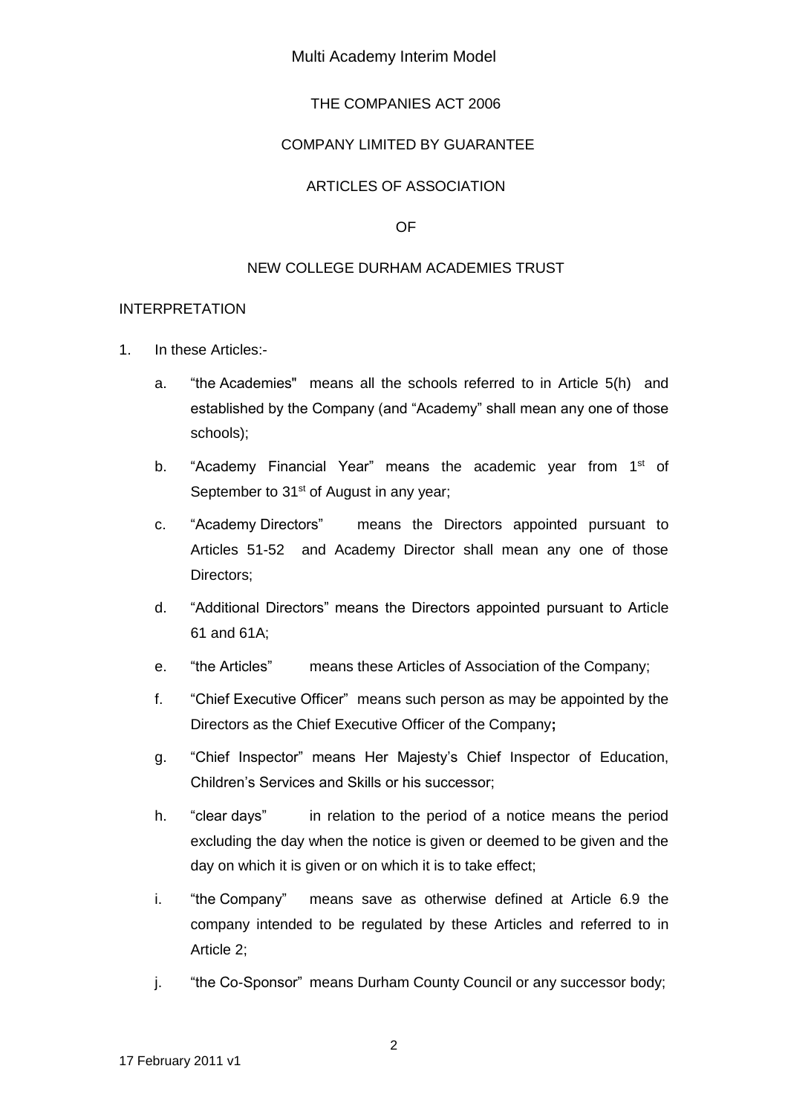#### Multi Academy Interim Model

### THE COMPANIES ACT 2006

#### COMPANY LIMITED BY GUARANTEE

#### ARTICLES OF ASSOCIATION

OF

#### NEW COLLEGE DURHAM ACADEMIES TRUST

#### INTERPRETATION

- 1. In these Articles:
	- a. "the Academies" means all the schools referred to in Article 5(h) and established by the Company (and "Academy" shall mean any one of those schools);
	- b. "Academy Financial Year" means the academic year from 1<sup>st</sup> of September to 31<sup>st</sup> of August in any year;
	- c. "Academy Directors" means the Directors appointed pursuant to Articles 51-52 and Academy Director shall mean any one of those Directors:
	- d. "Additional Directors" means the Directors appointed pursuant to Article 61 and 61A;
	- e. "the Articles" means these Articles of Association of the Company;
	- f. "Chief Executive Officer" means such person as may be appointed by the Directors as the Chief Executive Officer of the Company**;**
	- g. "Chief Inspector" means Her Majesty's Chief Inspector of Education, Children's Services and Skills or his successor;
	- h. "clear days" in relation to the period of a notice means the period excluding the day when the notice is given or deemed to be given and the day on which it is given or on which it is to take effect;
	- i. "the Company" means save as otherwise defined at Article 6.9 the company intended to be regulated by these Articles and referred to in Article 2;
	- j. "the Co-Sponsor" means Durham County Council or any successor body;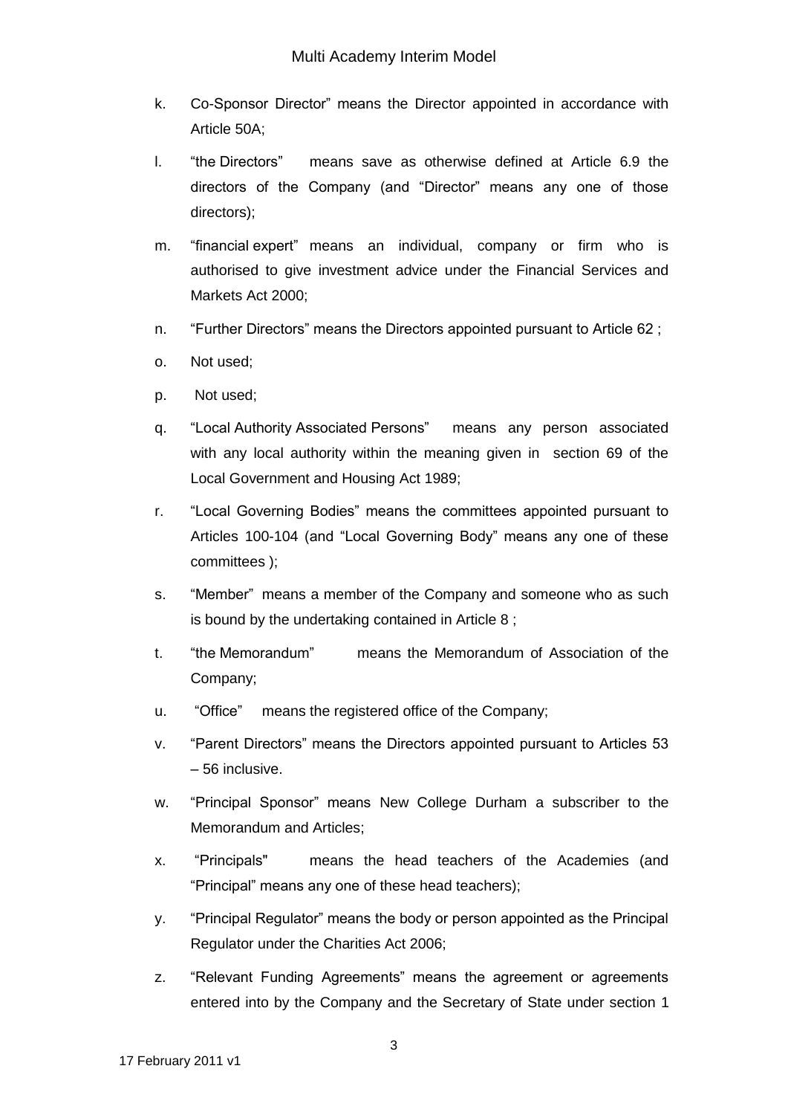- k. Co-Sponsor Director" means the Director appointed in accordance with Article 50A;
- l. "the Directors" means save as otherwise defined at Article 6.9 the directors of the Company (and "Director" means any one of those directors);
- m. "financial expert" means an individual, company or firm who is authorised to give investment advice under the Financial Services and Markets Act 2000;
- n. "Further Directors" means the Directors appointed pursuant to Article 62 ;
- o. Not used;
- p. Not used;
- q. "Local Authority Associated Persons" means any person associated with any local authority within the meaning given in section 69 of the Local Government and Housing Act 1989;
- r. "Local Governing Bodies" means the committees appointed pursuant to Articles 100-104 (and "Local Governing Body" means any one of these committees );
- s. "Member" means a member of the Company and someone who as such is bound by the undertaking contained in Article 8 ;
- t. "the Memorandum" means the Memorandum of Association of the Company;
- u. "Office" means the registered office of the Company;
- v. "Parent Directors" means the Directors appointed pursuant to Articles 53 – 56 inclusive.
- w. "Principal Sponsor" means New College Durham a subscriber to the Memorandum and Articles;
- x. "Principals" means the head teachers of the Academies (and "Principal" means any one of these head teachers);
- y. "Principal Regulator" means the body or person appointed as the Principal Regulator under the Charities Act 2006;
- z. "Relevant Funding Agreements" means the agreement or agreements entered into by the Company and the Secretary of State under section 1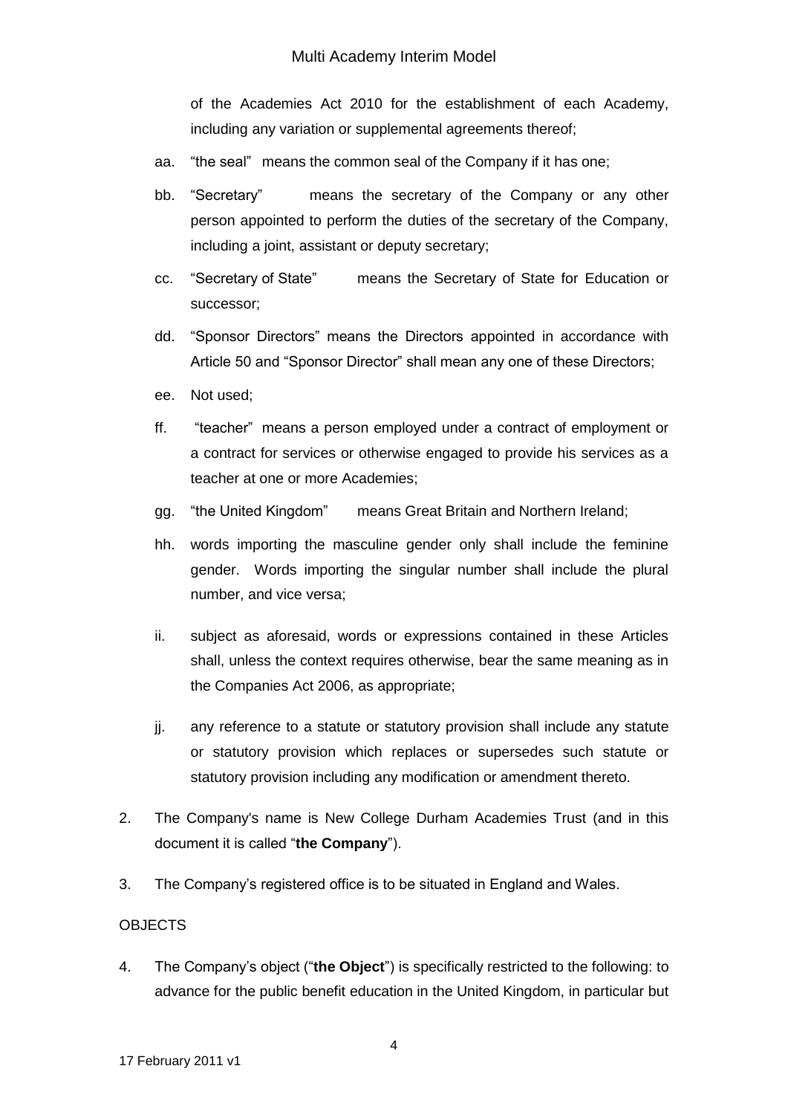of the Academies Act 2010 for the establishment of each Academy, including any variation or supplemental agreements thereof;

- aa. "the seal" means the common seal of the Company if it has one;
- bb. "Secretary" means the secretary of the Company or any other person appointed to perform the duties of the secretary of the Company, including a joint, assistant or deputy secretary;
- cc. "Secretary of State" means the Secretary of State for Education or successor;
- dd. "Sponsor Directors" means the Directors appointed in accordance with Article 50 and "Sponsor Director" shall mean any one of these Directors;
- ee. Not used;
- ff. "teacher" means a person employed under a contract of employment or a contract for services or otherwise engaged to provide his services as a teacher at one or more Academies;
- gg. "the United Kingdom" means Great Britain and Northern Ireland;
- hh. words importing the masculine gender only shall include the feminine gender. Words importing the singular number shall include the plural number, and vice versa;
- ii. subject as aforesaid, words or expressions contained in these Articles shall, unless the context requires otherwise, bear the same meaning as in the Companies Act 2006, as appropriate;
- jj. any reference to a statute or statutory provision shall include any statute or statutory provision which replaces or supersedes such statute or statutory provision including any modification or amendment thereto.
- 2. The Company's name is New College Durham Academies Trust (and in this document it is called "**the Company**").
- 3. The Company's registered office is to be situated in England and Wales.

## **OBJECTS**

4. The Company's object ("**the Object**") is specifically restricted to the following: to advance for the public benefit education in the United Kingdom, in particular but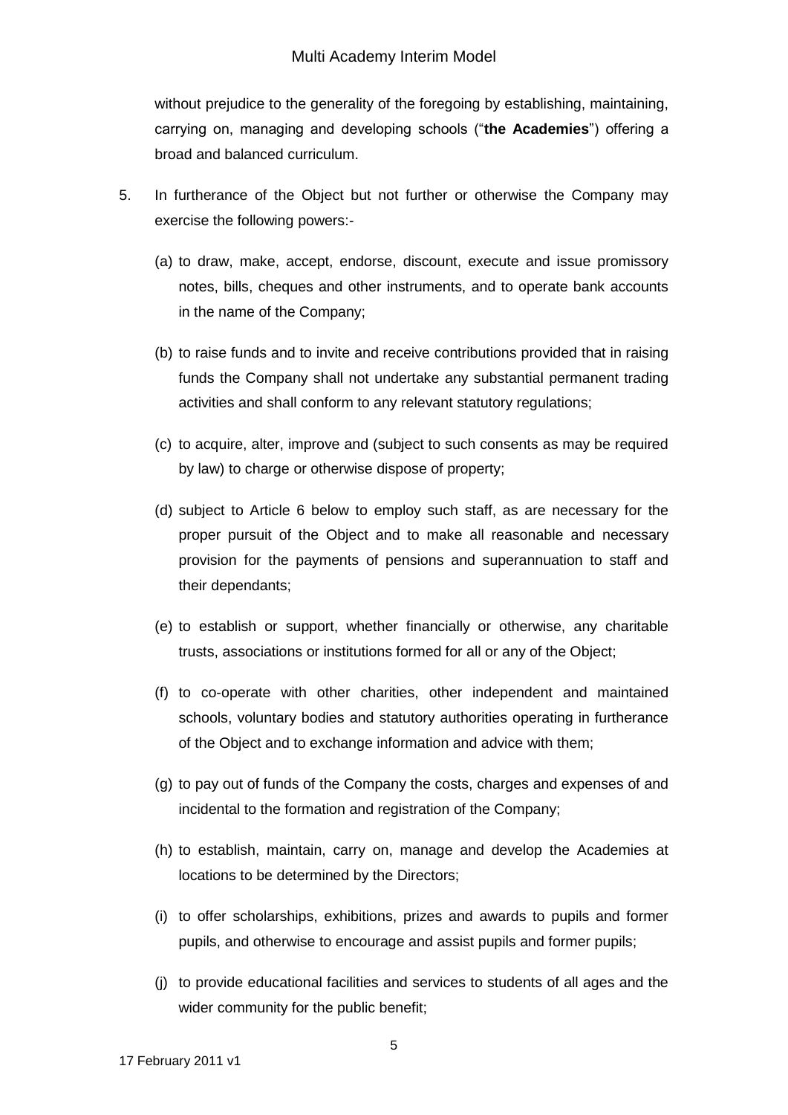without prejudice to the generality of the foregoing by establishing, maintaining, carrying on, managing and developing schools ("**the Academies**") offering a broad and balanced curriculum.

- 5. In furtherance of the Object but not further or otherwise the Company may exercise the following powers:-
	- (a) to draw, make, accept, endorse, discount, execute and issue promissory notes, bills, cheques and other instruments, and to operate bank accounts in the name of the Company;
	- (b) to raise funds and to invite and receive contributions provided that in raising funds the Company shall not undertake any substantial permanent trading activities and shall conform to any relevant statutory regulations;
	- (c) to acquire, alter, improve and (subject to such consents as may be required by law) to charge or otherwise dispose of property;
	- (d) subject to Article 6 below to employ such staff, as are necessary for the proper pursuit of the Object and to make all reasonable and necessary provision for the payments of pensions and superannuation to staff and their dependants;
	- (e) to establish or support, whether financially or otherwise, any charitable trusts, associations or institutions formed for all or any of the Object;
	- (f) to co-operate with other charities, other independent and maintained schools, voluntary bodies and statutory authorities operating in furtherance of the Object and to exchange information and advice with them;
	- (g) to pay out of funds of the Company the costs, charges and expenses of and incidental to the formation and registration of the Company;
	- (h) to establish, maintain, carry on, manage and develop the Academies at locations to be determined by the Directors;
	- (i) to offer scholarships, exhibitions, prizes and awards to pupils and former pupils, and otherwise to encourage and assist pupils and former pupils;
	- (j) to provide educational facilities and services to students of all ages and the wider community for the public benefit;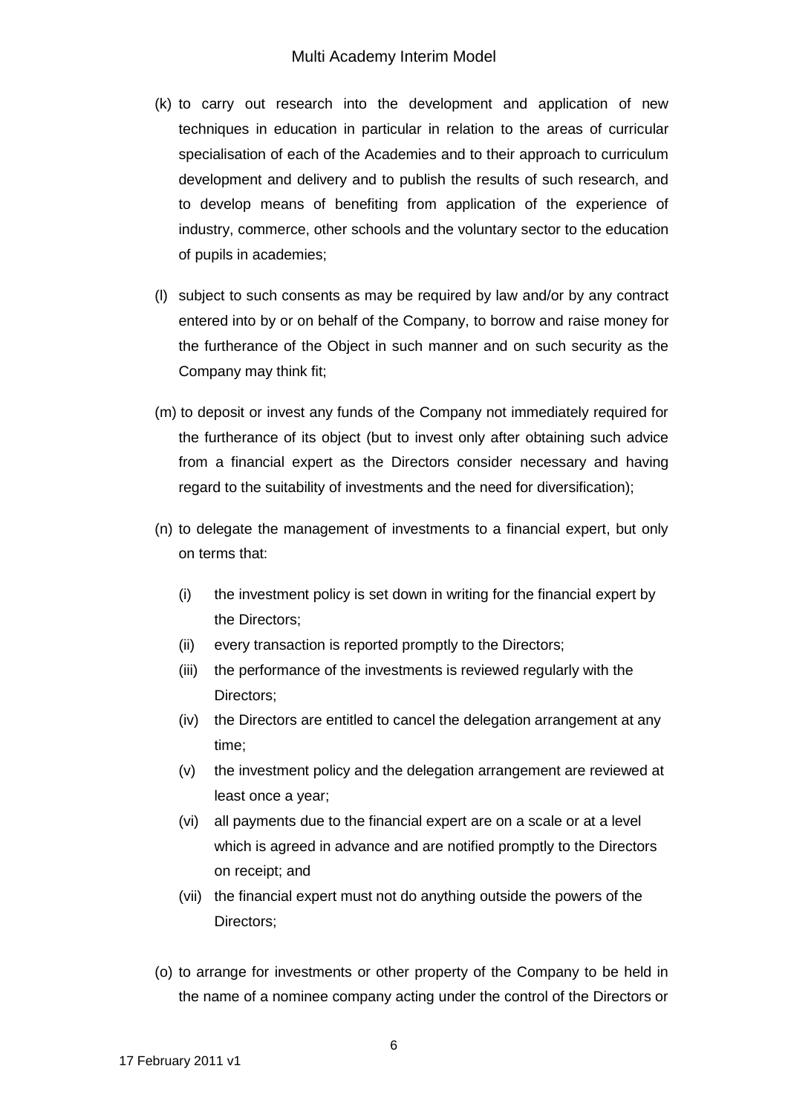- (k) to carry out research into the development and application of new techniques in education in particular in relation to the areas of curricular specialisation of each of the Academies and to their approach to curriculum development and delivery and to publish the results of such research, and to develop means of benefiting from application of the experience of industry, commerce, other schools and the voluntary sector to the education of pupils in academies;
- (l) subject to such consents as may be required by law and/or by any contract entered into by or on behalf of the Company, to borrow and raise money for the furtherance of the Object in such manner and on such security as the Company may think fit;
- (m) to deposit or invest any funds of the Company not immediately required for the furtherance of its object (but to invest only after obtaining such advice from a financial expert as the Directors consider necessary and having regard to the suitability of investments and the need for diversification);
- (n) to delegate the management of investments to a financial expert, but only on terms that:
	- (i) the investment policy is set down in writing for the financial expert by the Directors;
	- (ii) every transaction is reported promptly to the Directors;
	- (iii) the performance of the investments is reviewed regularly with the Directors;
	- (iv) the Directors are entitled to cancel the delegation arrangement at any time;
	- (v) the investment policy and the delegation arrangement are reviewed at least once a year;
	- (vi) all payments due to the financial expert are on a scale or at a level which is agreed in advance and are notified promptly to the Directors on receipt; and
	- (vii) the financial expert must not do anything outside the powers of the Directors;
- (o) to arrange for investments or other property of the Company to be held in the name of a nominee company acting under the control of the Directors or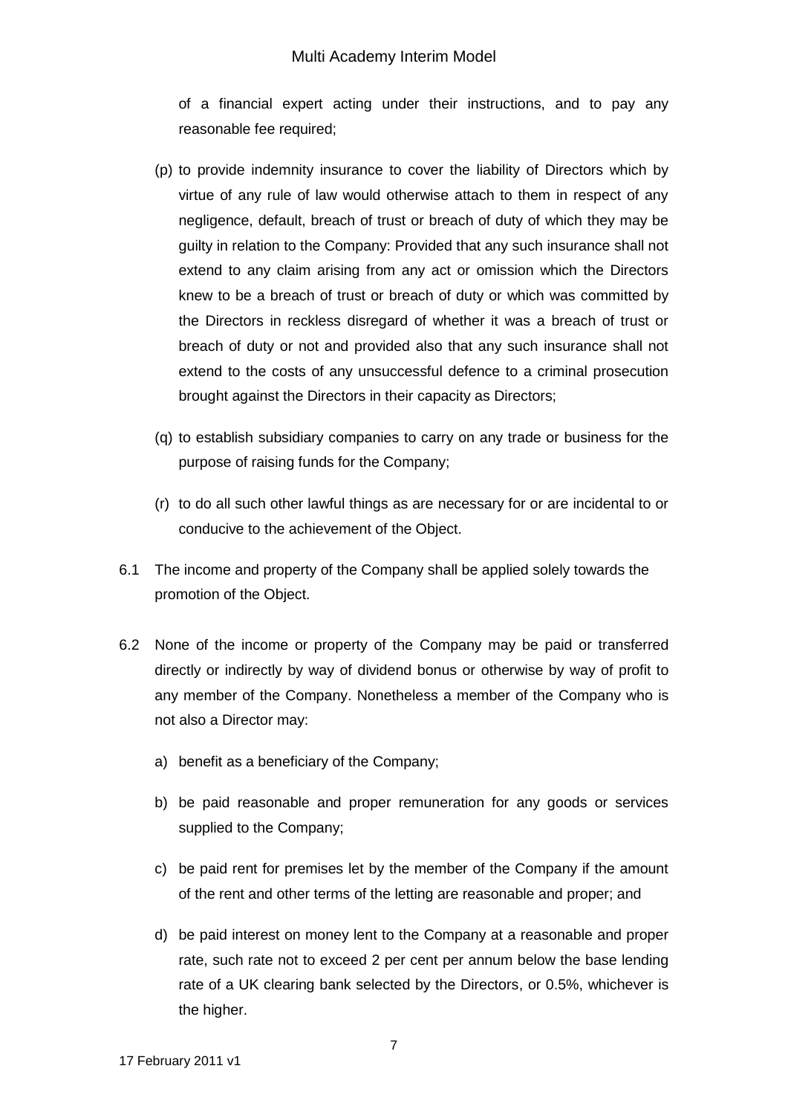#### Multi Academy Interim Model

of a financial expert acting under their instructions, and to pay any reasonable fee required;

- (p) to provide indemnity insurance to cover the liability of Directors which by virtue of any rule of law would otherwise attach to them in respect of any negligence, default, breach of trust or breach of duty of which they may be guilty in relation to the Company: Provided that any such insurance shall not extend to any claim arising from any act or omission which the Directors knew to be a breach of trust or breach of duty or which was committed by the Directors in reckless disregard of whether it was a breach of trust or breach of duty or not and provided also that any such insurance shall not extend to the costs of any unsuccessful defence to a criminal prosecution brought against the Directors in their capacity as Directors;
- (q) to establish subsidiary companies to carry on any trade or business for the purpose of raising funds for the Company;
- (r) to do all such other lawful things as are necessary for or are incidental to or conducive to the achievement of the Object.
- 6.1 The income and property of the Company shall be applied solely towards the promotion of the Object.
- 6.2 None of the income or property of the Company may be paid or transferred directly or indirectly by way of dividend bonus or otherwise by way of profit to any member of the Company. Nonetheless a member of the Company who is not also a Director may:
	- a) benefit as a beneficiary of the Company;
	- b) be paid reasonable and proper remuneration for any goods or services supplied to the Company;
	- c) be paid rent for premises let by the member of the Company if the amount of the rent and other terms of the letting are reasonable and proper; and
	- d) be paid interest on money lent to the Company at a reasonable and proper rate, such rate not to exceed 2 per cent per annum below the base lending rate of a UK clearing bank selected by the Directors, or 0.5%, whichever is the higher.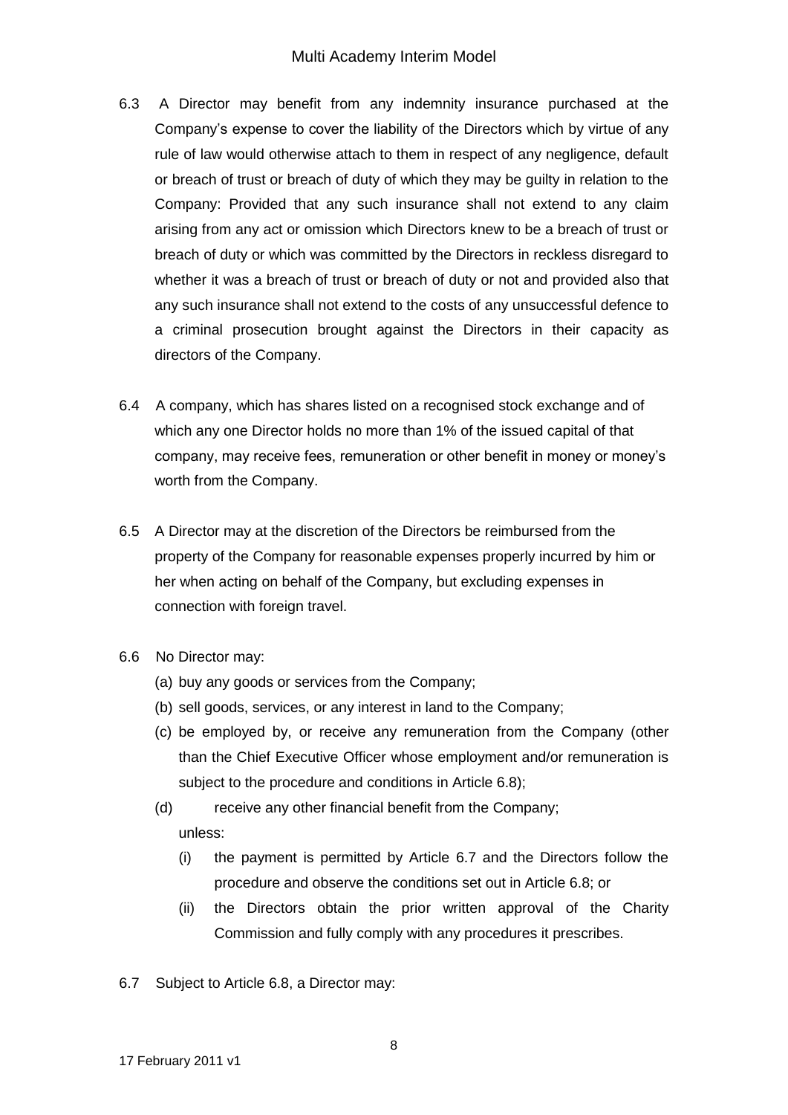### Multi Academy Interim Model

- 6.3 A Director may benefit from any indemnity insurance purchased at the Company's expense to cover the liability of the Directors which by virtue of any rule of law would otherwise attach to them in respect of any negligence, default or breach of trust or breach of duty of which they may be guilty in relation to the Company: Provided that any such insurance shall not extend to any claim arising from any act or omission which Directors knew to be a breach of trust or breach of duty or which was committed by the Directors in reckless disregard to whether it was a breach of trust or breach of duty or not and provided also that any such insurance shall not extend to the costs of any unsuccessful defence to a criminal prosecution brought against the Directors in their capacity as directors of the Company.
- 6.4 A company, which has shares listed on a recognised stock exchange and of which any one Director holds no more than 1% of the issued capital of that company, may receive fees, remuneration or other benefit in money or money's worth from the Company.
- 6.5 A Director may at the discretion of the Directors be reimbursed from the property of the Company for reasonable expenses properly incurred by him or her when acting on behalf of the Company, but excluding expenses in connection with foreign travel.
- 6.6 No Director may:
	- (a) buy any goods or services from the Company;
	- (b) sell goods, services, or any interest in land to the Company;
	- (c) be employed by, or receive any remuneration from the Company (other than the Chief Executive Officer whose employment and/or remuneration is subject to the procedure and conditions in Article 6.8);
	- (d) receive any other financial benefit from the Company; unless:
		- (i) the payment is permitted by Article 6.7 and the Directors follow the procedure and observe the conditions set out in Article 6.8; or
		- (ii) the Directors obtain the prior written approval of the Charity Commission and fully comply with any procedures it prescribes.
- 6.7 Subject to Article 6.8, a Director may: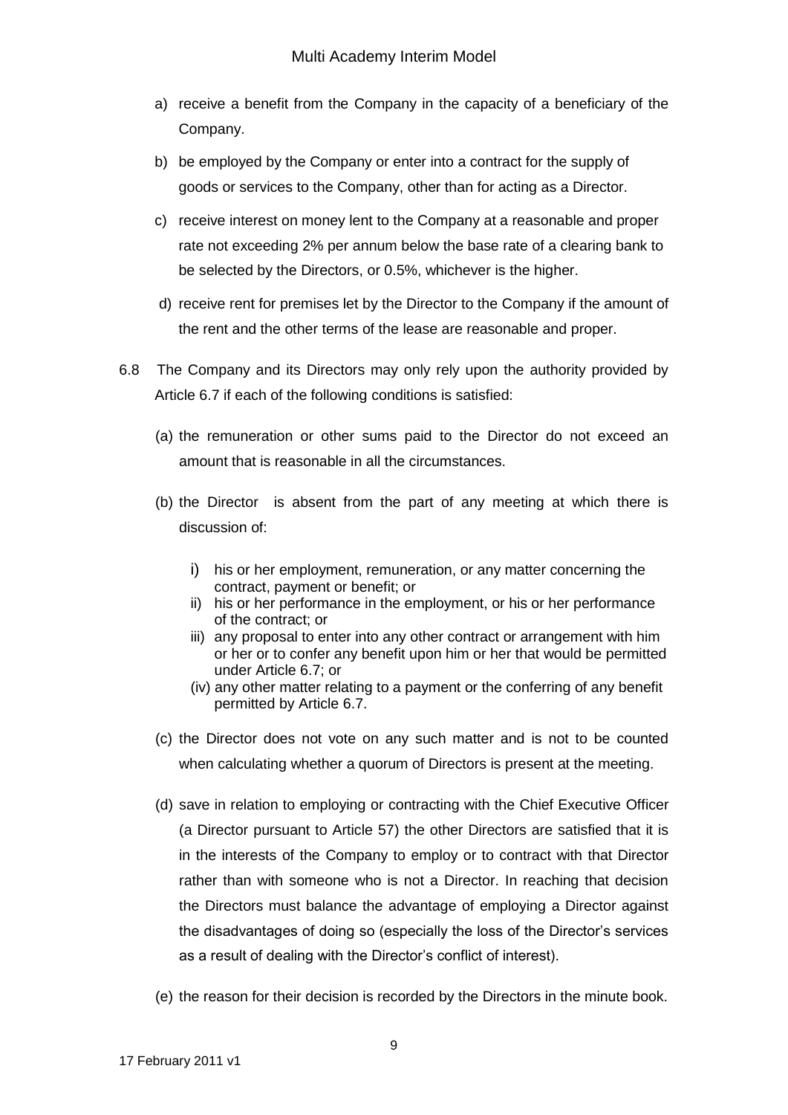- a) receive a benefit from the Company in the capacity of a beneficiary of the Company.
- b) be employed by the Company or enter into a contract for the supply of goods or services to the Company, other than for acting as a Director.
- c) receive interest on money lent to the Company at a reasonable and proper rate not exceeding 2% per annum below the base rate of a clearing bank to be selected by the Directors, or 0.5%, whichever is the higher.
- d) receive rent for premises let by the Director to the Company if the amount of the rent and the other terms of the lease are reasonable and proper.
- 6.8 The Company and its Directors may only rely upon the authority provided by Article 6.7 if each of the following conditions is satisfied:
	- (a) the remuneration or other sums paid to the Director do not exceed an amount that is reasonable in all the circumstances.
	- (b) the Director is absent from the part of any meeting at which there is discussion of:
		- i) his or her employment, remuneration, or any matter concerning the contract, payment or benefit; or
		- ii) his or her performance in the employment, or his or her performance of the contract; or
		- iii) any proposal to enter into any other contract or arrangement with him or her or to confer any benefit upon him or her that would be permitted under Article 6.7; or
		- (iv) any other matter relating to a payment or the conferring of any benefit permitted by Article 6.7.
	- (c) the Director does not vote on any such matter and is not to be counted when calculating whether a quorum of Directors is present at the meeting.
	- (d) save in relation to employing or contracting with the Chief Executive Officer (a Director pursuant to Article 57) the other Directors are satisfied that it is in the interests of the Company to employ or to contract with that Director rather than with someone who is not a Director. In reaching that decision the Directors must balance the advantage of employing a Director against the disadvantages of doing so (especially the loss of the Director's services as a result of dealing with the Director's conflict of interest).
	- (e) the reason for their decision is recorded by the Directors in the minute book.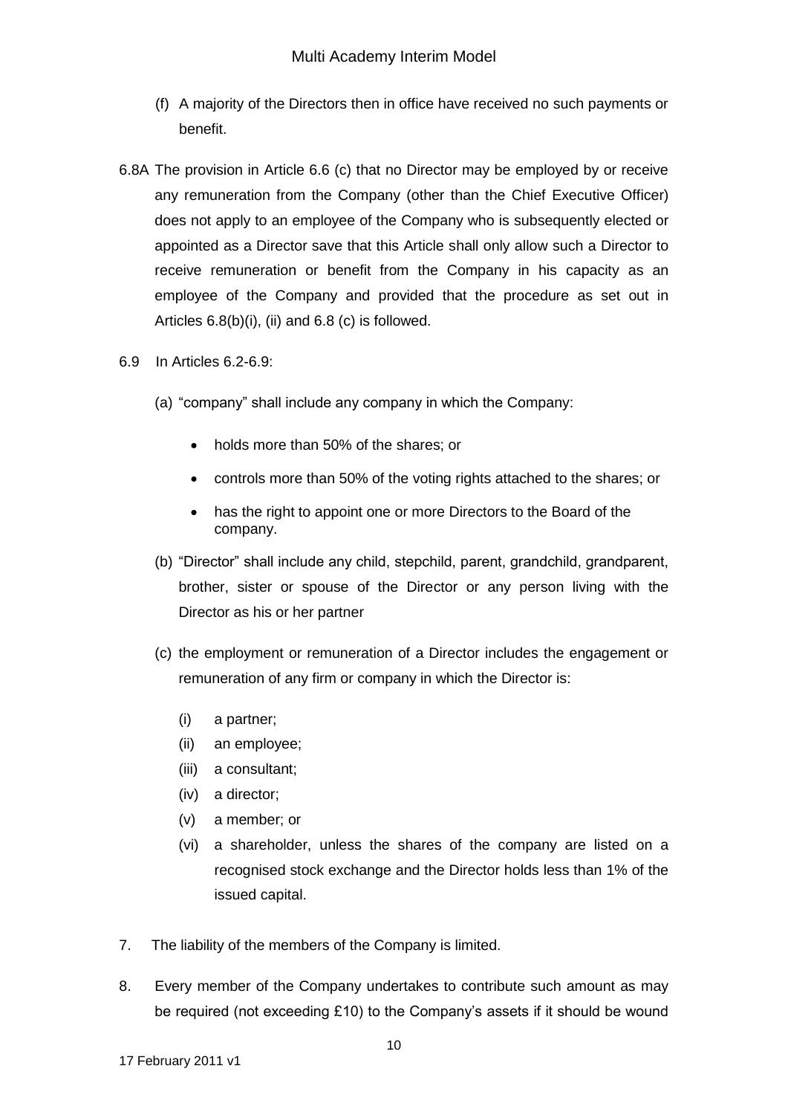- (f) A majority of the Directors then in office have received no such payments or benefit.
- 6.8A The provision in Article 6.6 (c) that no Director may be employed by or receive any remuneration from the Company (other than the Chief Executive Officer) does not apply to an employee of the Company who is subsequently elected or appointed as a Director save that this Article shall only allow such a Director to receive remuneration or benefit from the Company in his capacity as an employee of the Company and provided that the procedure as set out in Articles 6.8(b)(i), (ii) and 6.8 (c) is followed.
- 6.9 In Articles 6.2-6.9:
	- (a) "company" shall include any company in which the Company:
		- holds more than 50% of the shares; or
		- controls more than 50% of the voting rights attached to the shares; or
		- has the right to appoint one or more Directors to the Board of the company.
	- (b) "Director" shall include any child, stepchild, parent, grandchild, grandparent, brother, sister or spouse of the Director or any person living with the Director as his or her partner
	- (c) the employment or remuneration of a Director includes the engagement or remuneration of any firm or company in which the Director is:
		- (i) a partner;
		- (ii) an employee;
		- (iii) a consultant;
		- (iv) a director;
		- (v) a member; or
		- (vi) a shareholder, unless the shares of the company are listed on a recognised stock exchange and the Director holds less than 1% of the issued capital.
- 7. The liability of the members of the Company is limited.
- 8. Every member of the Company undertakes to contribute such amount as may be required (not exceeding £10) to the Company's assets if it should be wound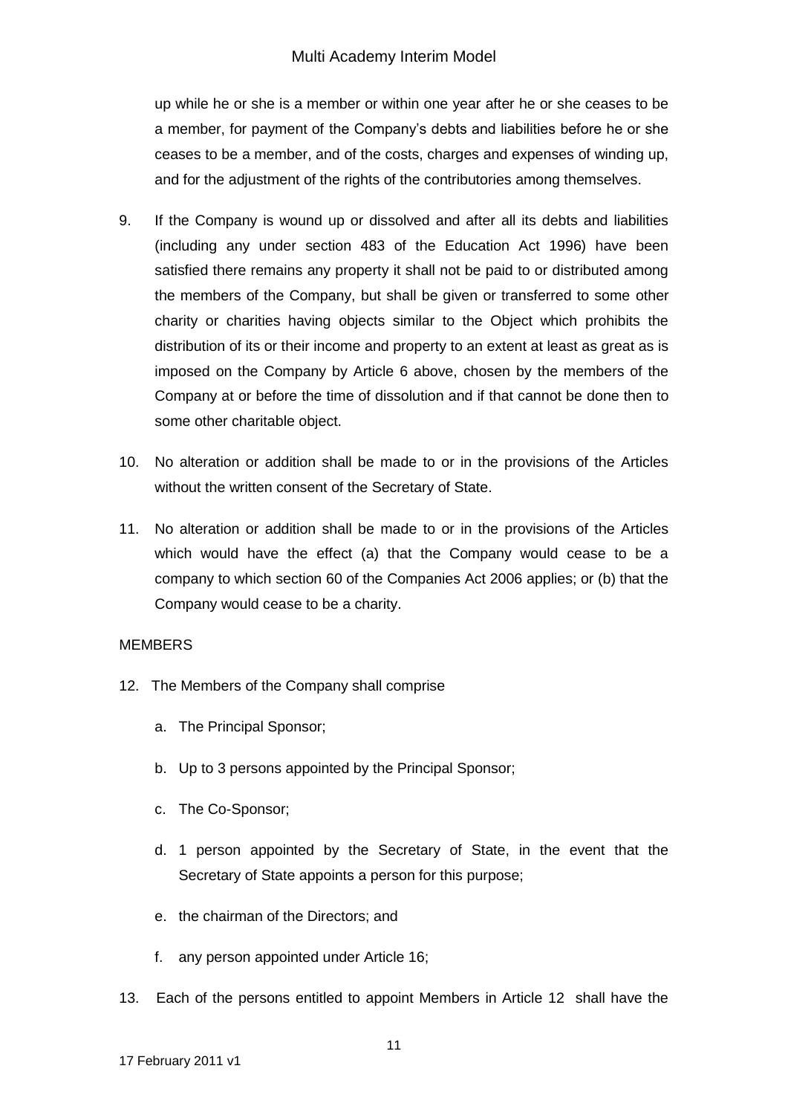up while he or she is a member or within one year after he or she ceases to be a member, for payment of the Company's debts and liabilities before he or she ceases to be a member, and of the costs, charges and expenses of winding up, and for the adjustment of the rights of the contributories among themselves.

- 9. If the Company is wound up or dissolved and after all its debts and liabilities (including any under section 483 of the Education Act 1996) have been satisfied there remains any property it shall not be paid to or distributed among the members of the Company, but shall be given or transferred to some other charity or charities having objects similar to the Object which prohibits the distribution of its or their income and property to an extent at least as great as is imposed on the Company by Article 6 above, chosen by the members of the Company at or before the time of dissolution and if that cannot be done then to some other charitable object.
- 10. No alteration or addition shall be made to or in the provisions of the Articles without the written consent of the Secretary of State.
- 11. No alteration or addition shall be made to or in the provisions of the Articles which would have the effect (a) that the Company would cease to be a company to which section 60 of the Companies Act 2006 applies; or (b) that the Company would cease to be a charity.

#### **MEMBERS**

- 12. The Members of the Company shall comprise
	- a. The Principal Sponsor;
	- b. Up to 3 persons appointed by the Principal Sponsor;
	- c. The Co-Sponsor;
	- d. 1 person appointed by the Secretary of State, in the event that the Secretary of State appoints a person for this purpose;
	- e. the chairman of the Directors; and
	- f. any person appointed under Article 16;
- 13. Each of the persons entitled to appoint Members in Article 12 shall have the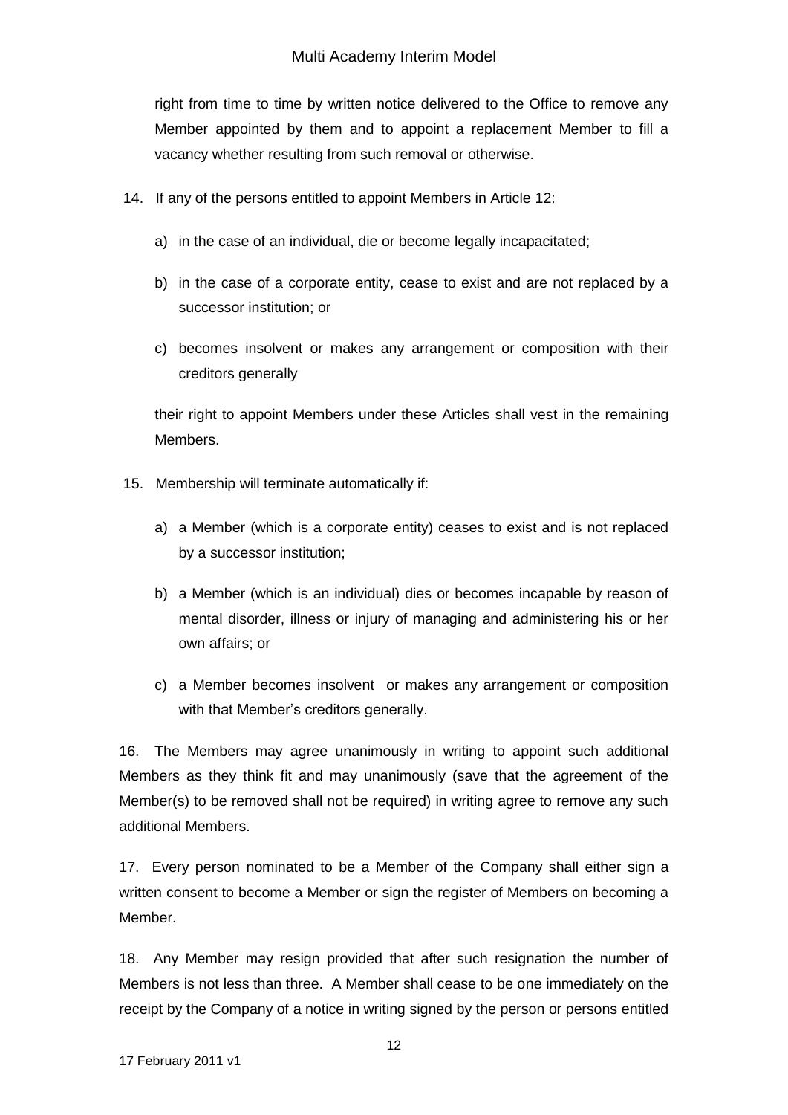right from time to time by written notice delivered to the Office to remove any Member appointed by them and to appoint a replacement Member to fill a vacancy whether resulting from such removal or otherwise.

- 14. If any of the persons entitled to appoint Members in Article 12:
	- a) in the case of an individual, die or become legally incapacitated;
	- b) in the case of a corporate entity, cease to exist and are not replaced by a successor institution; or
	- c) becomes insolvent or makes any arrangement or composition with their creditors generally

their right to appoint Members under these Articles shall vest in the remaining Members.

- 15. Membership will terminate automatically if:
	- a) a Member (which is a corporate entity) ceases to exist and is not replaced by a successor institution;
	- b) a Member (which is an individual) dies or becomes incapable by reason of mental disorder, illness or injury of managing and administering his or her own affairs; or
	- c) a Member becomes insolvent or makes any arrangement or composition with that Member's creditors generally.

16. The Members may agree unanimously in writing to appoint such additional Members as they think fit and may unanimously (save that the agreement of the Member(s) to be removed shall not be required) in writing agree to remove any such additional Members.

17. Every person nominated to be a Member of the Company shall either sign a written consent to become a Member or sign the register of Members on becoming a Member.

18. Any Member may resign provided that after such resignation the number of Members is not less than three. A Member shall cease to be one immediately on the receipt by the Company of a notice in writing signed by the person or persons entitled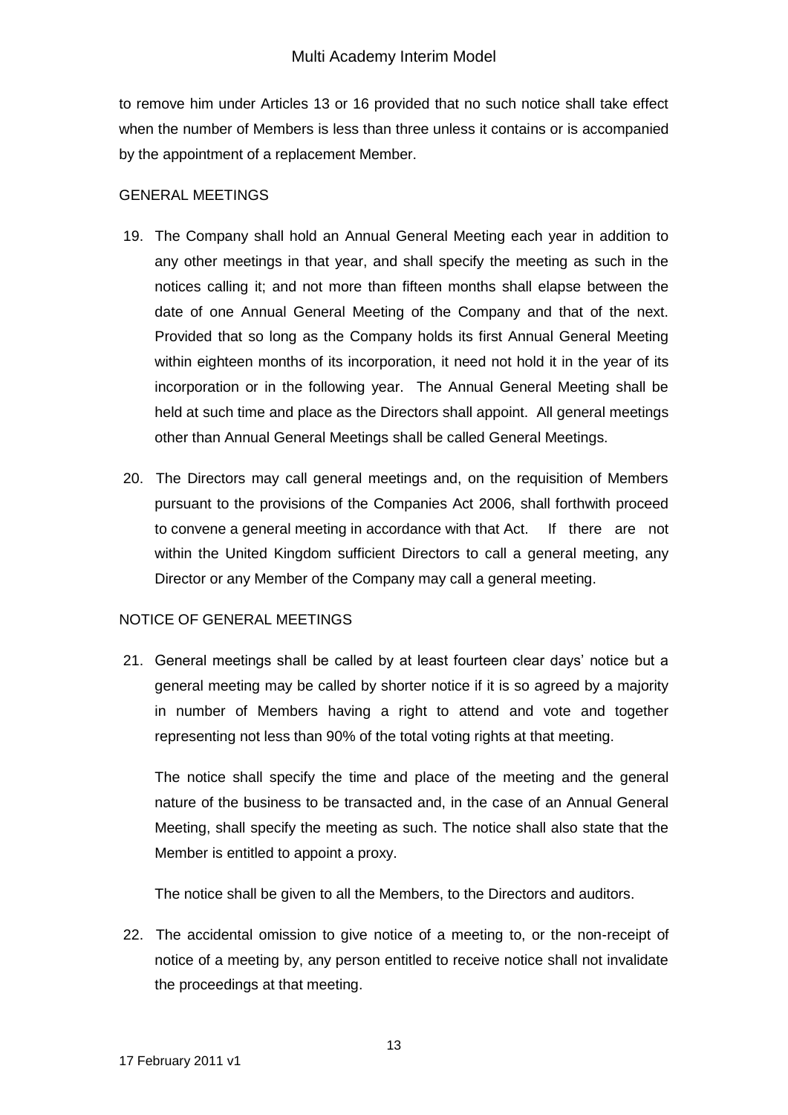to remove him under Articles 13 or 16 provided that no such notice shall take effect when the number of Members is less than three unless it contains or is accompanied by the appointment of a replacement Member.

#### GENERAL MEETINGS

- 19. The Company shall hold an Annual General Meeting each year in addition to any other meetings in that year, and shall specify the meeting as such in the notices calling it; and not more than fifteen months shall elapse between the date of one Annual General Meeting of the Company and that of the next. Provided that so long as the Company holds its first Annual General Meeting within eighteen months of its incorporation, it need not hold it in the year of its incorporation or in the following year. The Annual General Meeting shall be held at such time and place as the Directors shall appoint. All general meetings other than Annual General Meetings shall be called General Meetings.
- 20. The Directors may call general meetings and, on the requisition of Members pursuant to the provisions of the Companies Act 2006, shall forthwith proceed to convene a general meeting in accordance with that Act. If there are not within the United Kingdom sufficient Directors to call a general meeting, any Director or any Member of the Company may call a general meeting.

## NOTICE OF GENERAL MEETINGS

21. General meetings shall be called by at least fourteen clear days' notice but a general meeting may be called by shorter notice if it is so agreed by a majority in number of Members having a right to attend and vote and together representing not less than 90% of the total voting rights at that meeting.

The notice shall specify the time and place of the meeting and the general nature of the business to be transacted and, in the case of an Annual General Meeting, shall specify the meeting as such. The notice shall also state that the Member is entitled to appoint a proxy.

The notice shall be given to all the Members, to the Directors and auditors.

22. The accidental omission to give notice of a meeting to, or the non-receipt of notice of a meeting by, any person entitled to receive notice shall not invalidate the proceedings at that meeting.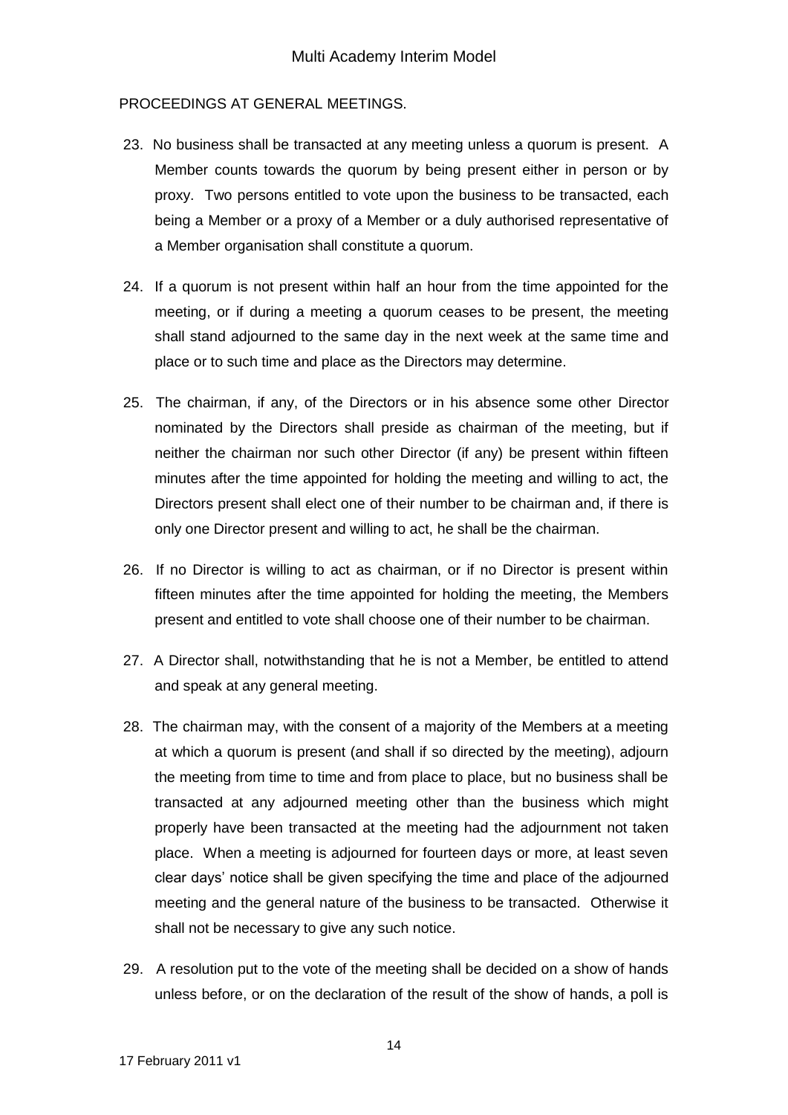### PROCEEDINGS AT GENERAL MEETINGS.

- 23. No business shall be transacted at any meeting unless a quorum is present. A Member counts towards the quorum by being present either in person or by proxy. Two persons entitled to vote upon the business to be transacted, each being a Member or a proxy of a Member or a duly authorised representative of a Member organisation shall constitute a quorum.
- 24. If a quorum is not present within half an hour from the time appointed for the meeting, or if during a meeting a quorum ceases to be present, the meeting shall stand adjourned to the same day in the next week at the same time and place or to such time and place as the Directors may determine.
- 25. The chairman, if any, of the Directors or in his absence some other Director nominated by the Directors shall preside as chairman of the meeting, but if neither the chairman nor such other Director (if any) be present within fifteen minutes after the time appointed for holding the meeting and willing to act, the Directors present shall elect one of their number to be chairman and, if there is only one Director present and willing to act, he shall be the chairman.
- 26. If no Director is willing to act as chairman, or if no Director is present within fifteen minutes after the time appointed for holding the meeting, the Members present and entitled to vote shall choose one of their number to be chairman.
- 27. A Director shall, notwithstanding that he is not a Member, be entitled to attend and speak at any general meeting.
- 28. The chairman may, with the consent of a majority of the Members at a meeting at which a quorum is present (and shall if so directed by the meeting), adjourn the meeting from time to time and from place to place, but no business shall be transacted at any adjourned meeting other than the business which might properly have been transacted at the meeting had the adjournment not taken place. When a meeting is adjourned for fourteen days or more, at least seven clear days' notice shall be given specifying the time and place of the adjourned meeting and the general nature of the business to be transacted. Otherwise it shall not be necessary to give any such notice.
- 29. A resolution put to the vote of the meeting shall be decided on a show of hands unless before, or on the declaration of the result of the show of hands, a poll is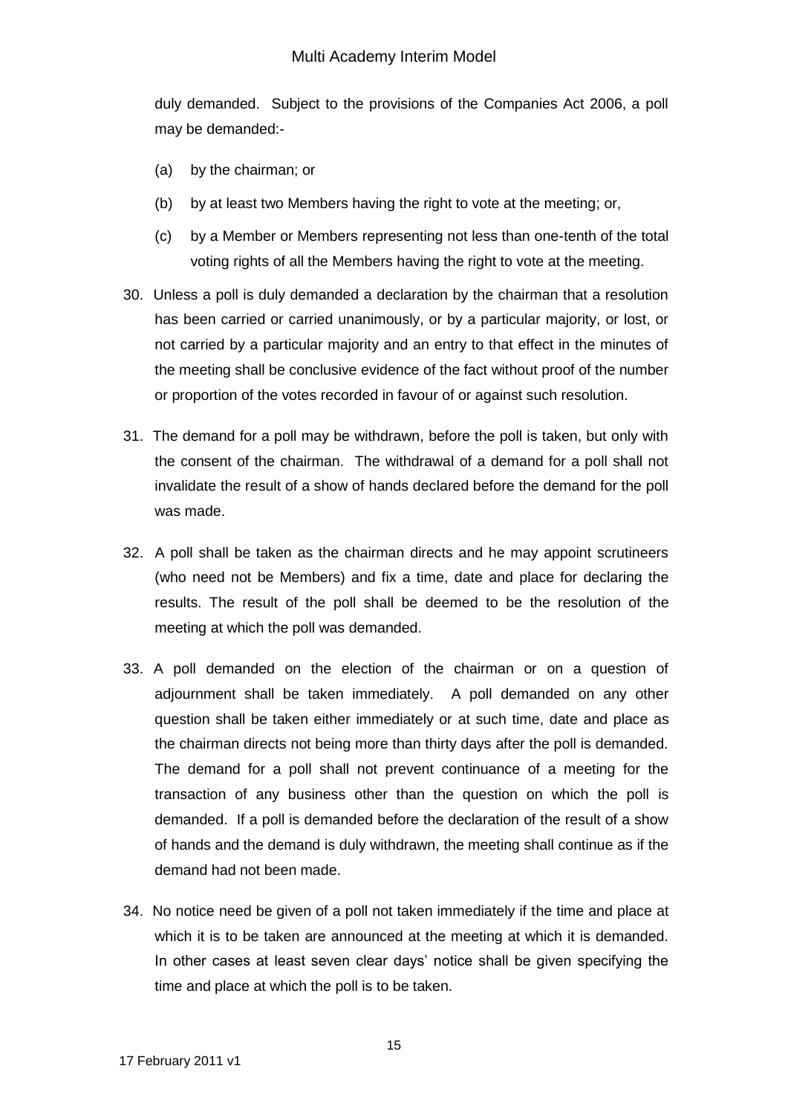duly demanded. Subject to the provisions of the Companies Act 2006, a poll may be demanded:-

- (a) by the chairman; or
- (b) by at least two Members having the right to vote at the meeting; or,
- (c) by a Member or Members representing not less than one-tenth of the total voting rights of all the Members having the right to vote at the meeting.
- 30. Unless a poll is duly demanded a declaration by the chairman that a resolution has been carried or carried unanimously, or by a particular majority, or lost, or not carried by a particular majority and an entry to that effect in the minutes of the meeting shall be conclusive evidence of the fact without proof of the number or proportion of the votes recorded in favour of or against such resolution.
- 31. The demand for a poll may be withdrawn, before the poll is taken, but only with the consent of the chairman. The withdrawal of a demand for a poll shall not invalidate the result of a show of hands declared before the demand for the poll was made.
- 32. A poll shall be taken as the chairman directs and he may appoint scrutineers (who need not be Members) and fix a time, date and place for declaring the results. The result of the poll shall be deemed to be the resolution of the meeting at which the poll was demanded.
- 33. A poll demanded on the election of the chairman or on a question of adjournment shall be taken immediately. A poll demanded on any other question shall be taken either immediately or at such time, date and place as the chairman directs not being more than thirty days after the poll is demanded. The demand for a poll shall not prevent continuance of a meeting for the transaction of any business other than the question on which the poll is demanded. If a poll is demanded before the declaration of the result of a show of hands and the demand is duly withdrawn, the meeting shall continue as if the demand had not been made.
- 34. No notice need be given of a poll not taken immediately if the time and place at which it is to be taken are announced at the meeting at which it is demanded. In other cases at least seven clear days' notice shall be given specifying the time and place at which the poll is to be taken.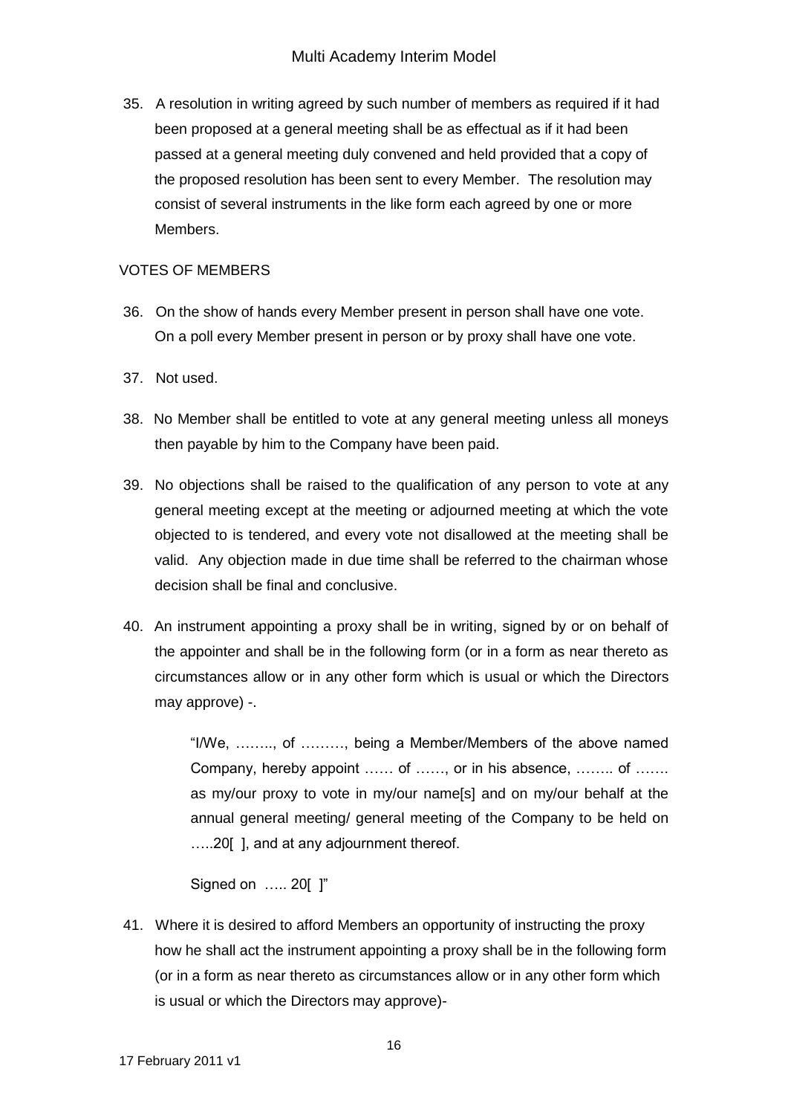35. A resolution in writing agreed by such number of members as required if it had been proposed at a general meeting shall be as effectual as if it had been passed at a general meeting duly convened and held provided that a copy of the proposed resolution has been sent to every Member. The resolution may consist of several instruments in the like form each agreed by one or more Members.

### VOTES OF MEMBERS

- 36. On the show of hands every Member present in person shall have one vote. On a poll every Member present in person or by proxy shall have one vote.
- 37. Not used.
- 38. No Member shall be entitled to vote at any general meeting unless all moneys then payable by him to the Company have been paid.
- 39. No objections shall be raised to the qualification of any person to vote at any general meeting except at the meeting or adjourned meeting at which the vote objected to is tendered, and every vote not disallowed at the meeting shall be valid. Any objection made in due time shall be referred to the chairman whose decision shall be final and conclusive.
- 40. An instrument appointing a proxy shall be in writing, signed by or on behalf of the appointer and shall be in the following form (or in a form as near thereto as circumstances allow or in any other form which is usual or which the Directors may approve) -.

"I/We, …….., of ………, being a Member/Members of the above named Company, hereby appoint …… of ……, or in his absence, …….. of ……. as my/our proxy to vote in my/our name[s] and on my/our behalf at the annual general meeting/ general meeting of the Company to be held on …..20[ ], and at any adjournment thereof.

Signed on ….. 20[ ]"

41. Where it is desired to afford Members an opportunity of instructing the proxy how he shall act the instrument appointing a proxy shall be in the following form (or in a form as near thereto as circumstances allow or in any other form which is usual or which the Directors may approve)-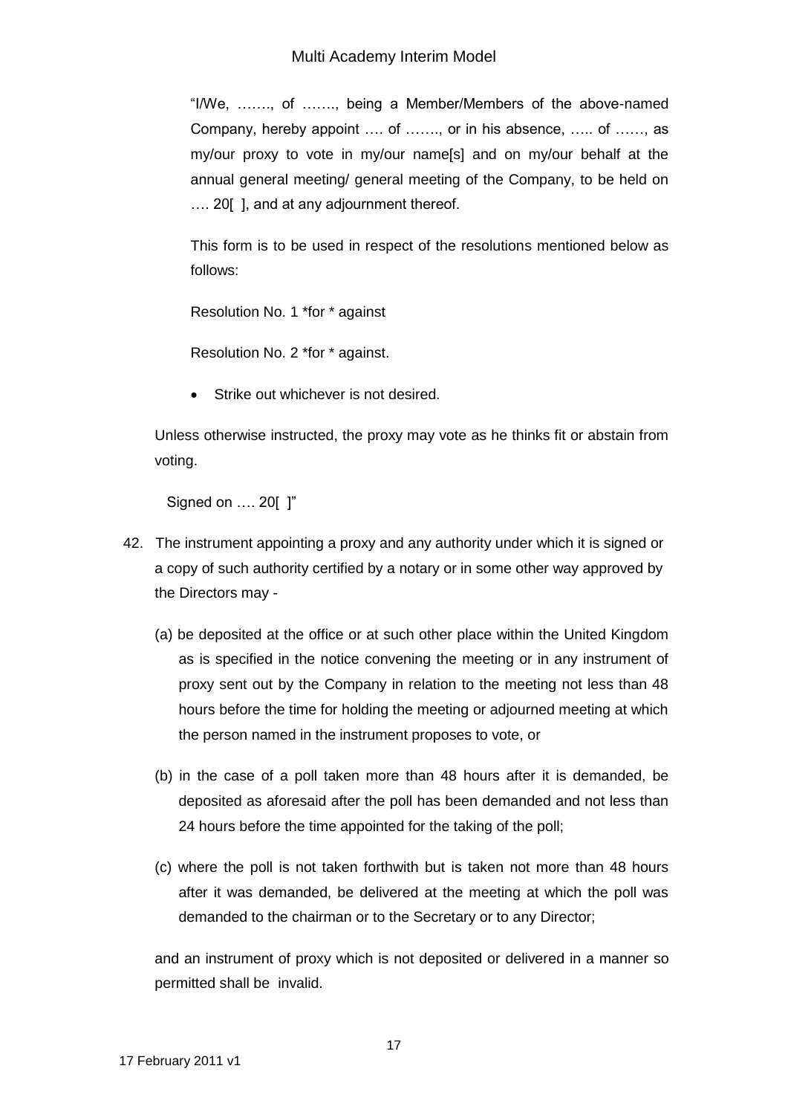"I/We, ……., of ……., being a Member/Members of the above-named Company, hereby appoint …. of ……., or in his absence, ….. of ……, as my/our proxy to vote in my/our name[s] and on my/our behalf at the annual general meeting/ general meeting of the Company, to be held on .... 20 [], and at any adjournment thereof.

This form is to be used in respect of the resolutions mentioned below as follows:

Resolution No. 1 \*for \* against

Resolution No. 2 \*for \* against.

Strike out whichever is not desired.

Unless otherwise instructed, the proxy may vote as he thinks fit or abstain from voting.

Signed on …. 20[ ]"

- 42. The instrument appointing a proxy and any authority under which it is signed or a copy of such authority certified by a notary or in some other way approved by the Directors may -
	- (a) be deposited at the office or at such other place within the United Kingdom as is specified in the notice convening the meeting or in any instrument of proxy sent out by the Company in relation to the meeting not less than 48 hours before the time for holding the meeting or adjourned meeting at which the person named in the instrument proposes to vote, or
	- (b) in the case of a poll taken more than 48 hours after it is demanded, be deposited as aforesaid after the poll has been demanded and not less than 24 hours before the time appointed for the taking of the poll;
	- (c) where the poll is not taken forthwith but is taken not more than 48 hours after it was demanded, be delivered at the meeting at which the poll was demanded to the chairman or to the Secretary or to any Director;

and an instrument of proxy which is not deposited or delivered in a manner so permitted shall be invalid.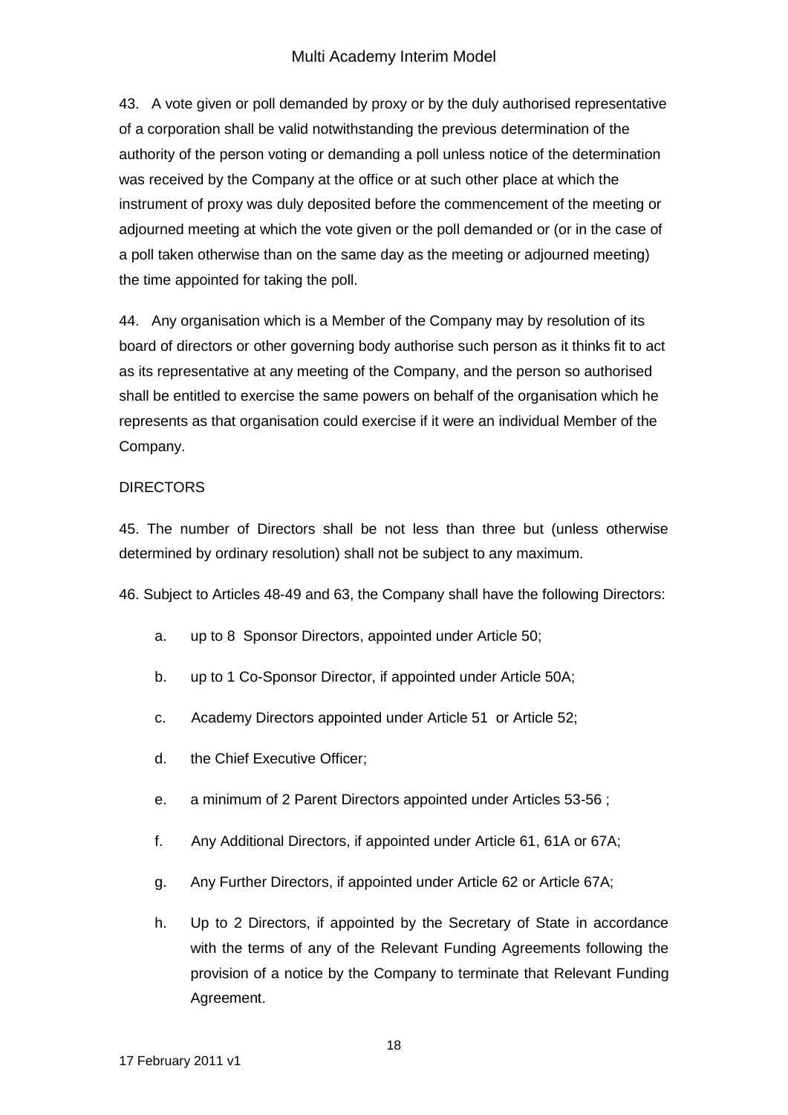## Multi Academy Interim Model

43. A vote given or poll demanded by proxy or by the duly authorised representative of a corporation shall be valid notwithstanding the previous determination of the authority of the person voting or demanding a poll unless notice of the determination was received by the Company at the office or at such other place at which the instrument of proxy was duly deposited before the commencement of the meeting or adjourned meeting at which the vote given or the poll demanded or (or in the case of a poll taken otherwise than on the same day as the meeting or adjourned meeting) the time appointed for taking the poll.

44. Any organisation which is a Member of the Company may by resolution of its board of directors or other governing body authorise such person as it thinks fit to act as its representative at any meeting of the Company, and the person so authorised shall be entitled to exercise the same powers on behalf of the organisation which he represents as that organisation could exercise if it were an individual Member of the Company.

#### DIRECTORS

45. The number of Directors shall be not less than three but (unless otherwise determined by ordinary resolution) shall not be subject to any maximum.

46. Subject to Articles 48-49 and 63, the Company shall have the following Directors:

- a. up to 8 Sponsor Directors, appointed under Article 50;
- b. up to 1 Co-Sponsor Director, if appointed under Article 50A;
- c. Academy Directors appointed under Article 51 or Article 52;
- d. the Chief Executive Officer;
- e. a minimum of 2 Parent Directors appointed under Articles 53-56 ;
- f. Any Additional Directors, if appointed under Article 61, 61A or 67A;
- g. Any Further Directors, if appointed under Article 62 or Article 67A;
- h. Up to 2 Directors, if appointed by the Secretary of State in accordance with the terms of any of the Relevant Funding Agreements following the provision of a notice by the Company to terminate that Relevant Funding Agreement.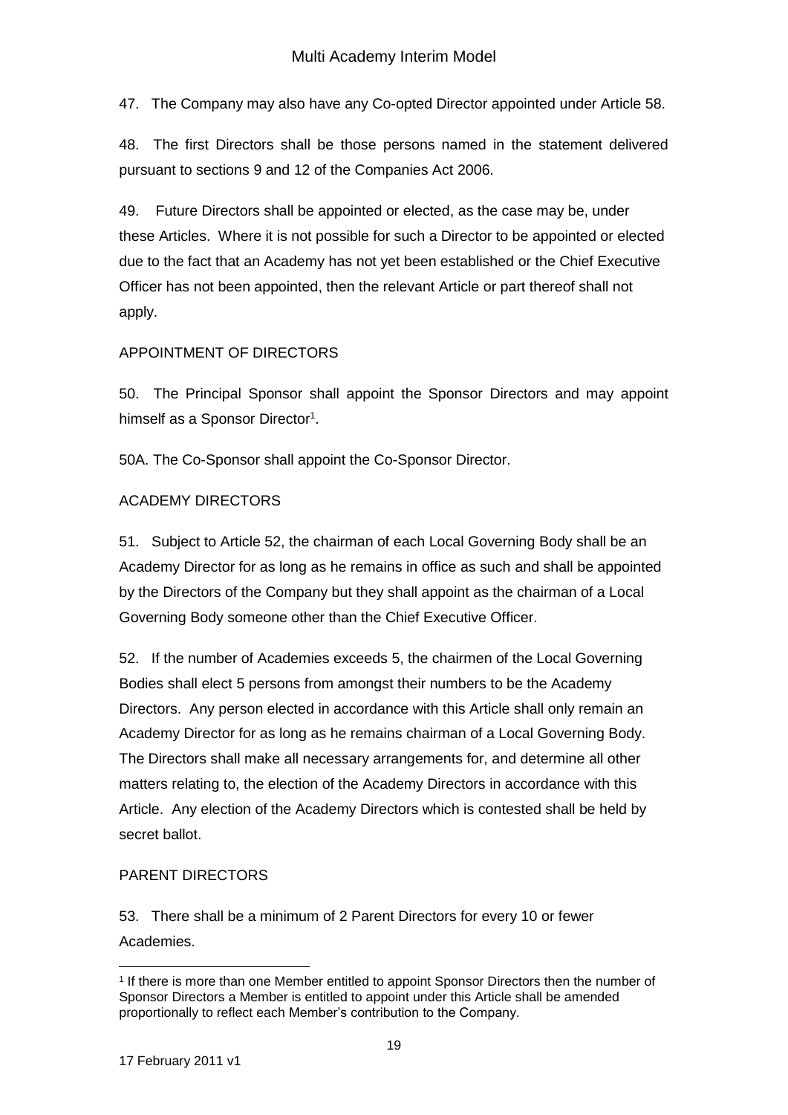47. The Company may also have any Co-opted Director appointed under Article 58.

48. The first Directors shall be those persons named in the statement delivered pursuant to sections 9 and 12 of the Companies Act 2006.

49. Future Directors shall be appointed or elected, as the case may be, under these Articles. Where it is not possible for such a Director to be appointed or elected due to the fact that an Academy has not yet been established or the Chief Executive Officer has not been appointed, then the relevant Article or part thereof shall not apply.

## APPOINTMENT OF DIRECTORS

50. The Principal Sponsor shall appoint the Sponsor Directors and may appoint himself as a Sponsor Director<sup>1</sup>.

50A. The Co-Sponsor shall appoint the Co-Sponsor Director.

## ACADEMY DIRECTORS

51. Subject to Article 52, the chairman of each Local Governing Body shall be an Academy Director for as long as he remains in office as such and shall be appointed by the Directors of the Company but they shall appoint as the chairman of a Local Governing Body someone other than the Chief Executive Officer.

52. If the number of Academies exceeds 5, the chairmen of the Local Governing Bodies shall elect 5 persons from amongst their numbers to be the Academy Directors. Any person elected in accordance with this Article shall only remain an Academy Director for as long as he remains chairman of a Local Governing Body. The Directors shall make all necessary arrangements for, and determine all other matters relating to, the election of the Academy Directors in accordance with this Article. Any election of the Academy Directors which is contested shall be held by secret ballot.

# PARENT DIRECTORS

53. There shall be a minimum of 2 Parent Directors for every 10 or fewer Academies.

<sup>1</sup> 1 If there is more than one Member entitled to appoint Sponsor Directors then the number of Sponsor Directors a Member is entitled to appoint under this Article shall be amended proportionally to reflect each Member's contribution to the Company.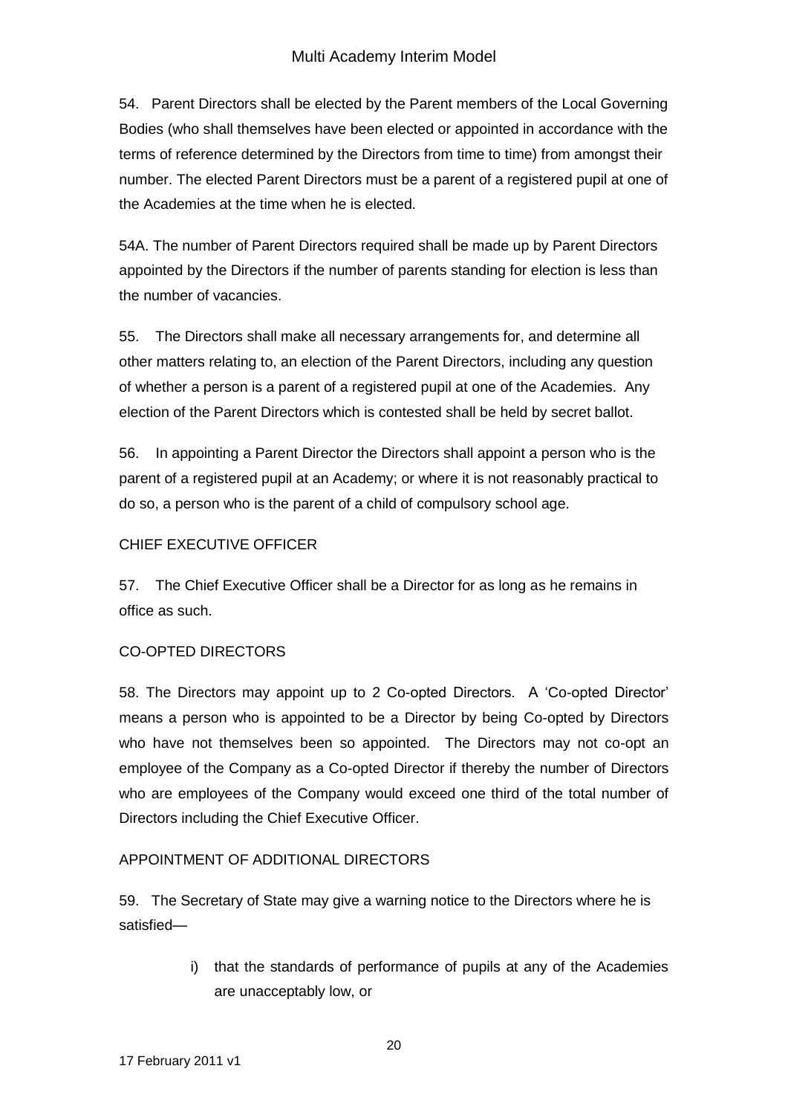54. Parent Directors shall be elected by the Parent members of the Local Governing Bodies (who shall themselves have been elected or appointed in accordance with the terms of reference determined by the Directors from time to time) from amongst their number. The elected Parent Directors must be a parent of a registered pupil at one of the Academies at the time when he is elected.

54A. The number of Parent Directors required shall be made up by Parent Directors appointed by the Directors if the number of parents standing for election is less than the number of vacancies.

55. The Directors shall make all necessary arrangements for, and determine all other matters relating to, an election of the Parent Directors, including any question of whether a person is a parent of a registered pupil at one of the Academies. Any election of the Parent Directors which is contested shall be held by secret ballot.

56. In appointing a Parent Director the Directors shall appoint a person who is the parent of a registered pupil at an Academy; or where it is not reasonably practical to do so, a person who is the parent of a child of compulsory school age.

# CHIEF EXECUTIVE OFFICER

57. The Chief Executive Officer shall be a Director for as long as he remains in office as such.

## CO-OPTED DIRECTORS

58. The Directors may appoint up to 2 Co-opted Directors. A 'Co-opted Director' means a person who is appointed to be a Director by being Co-opted by Directors who have not themselves been so appointed. The Directors may not co-opt an employee of the Company as a Co-opted Director if thereby the number of Directors who are employees of the Company would exceed one third of the total number of Directors including the Chief Executive Officer.

## APPOINTMENT OF ADDITIONAL DIRECTORS

59. The Secretary of State may give a warning notice to the Directors where he is satisfied—

> i) that the standards of performance of pupils at any of the Academies are unacceptably low, or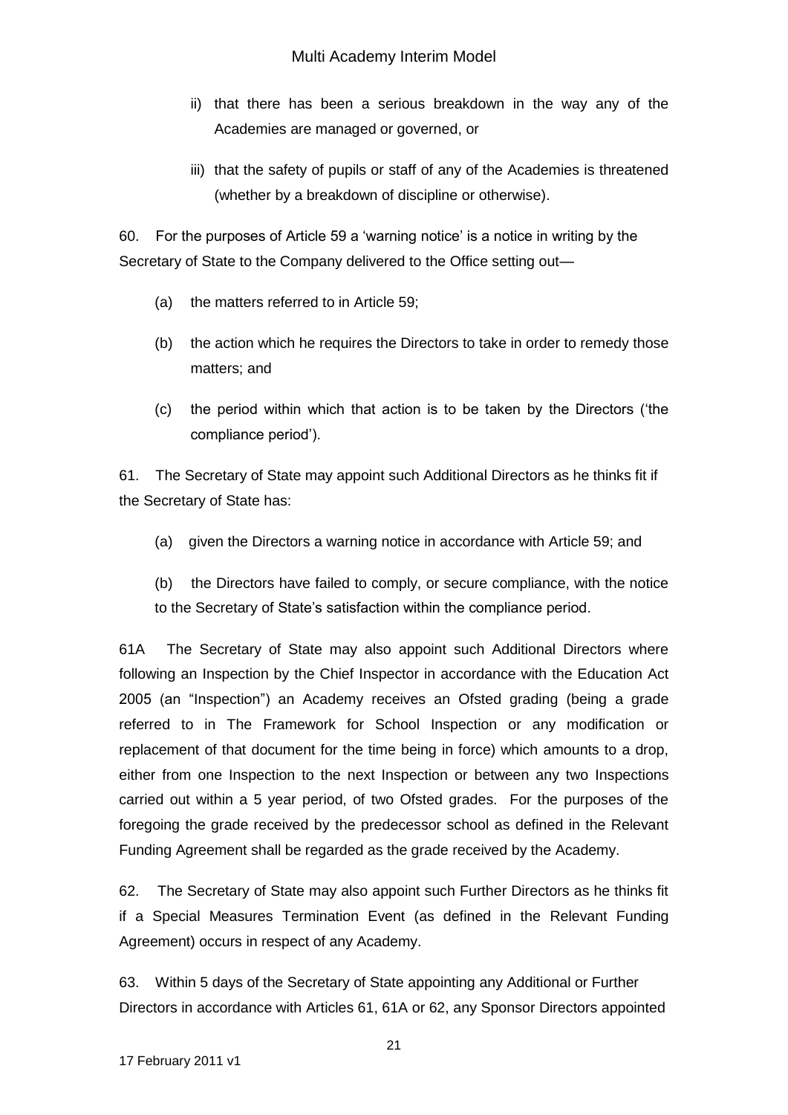- ii) that there has been a serious breakdown in the way any of the Academies are managed or governed, or
- iii) that the safety of pupils or staff of any of the Academies is threatened (whether by a breakdown of discipline or otherwise).

60. For the purposes of Article 59 a 'warning notice' is a notice in writing by the Secretary of State to the Company delivered to the Office setting out—

- (a) the matters referred to in Article 59;
- (b) the action which he requires the Directors to take in order to remedy those matters; and
- (c) the period within which that action is to be taken by the Directors ('the compliance period').

61. The Secretary of State may appoint such Additional Directors as he thinks fit if the Secretary of State has:

- (a) given the Directors a warning notice in accordance with Article 59; and
- (b) the Directors have failed to comply, or secure compliance, with the notice to the Secretary of State's satisfaction within the compliance period.

61A The Secretary of State may also appoint such Additional Directors where following an Inspection by the Chief Inspector in accordance with the Education Act 2005 (an "Inspection") an Academy receives an Ofsted grading (being a grade referred to in The Framework for School Inspection or any modification or replacement of that document for the time being in force) which amounts to a drop, either from one Inspection to the next Inspection or between any two Inspections carried out within a 5 year period, of two Ofsted grades. For the purposes of the foregoing the grade received by the predecessor school as defined in the Relevant Funding Agreement shall be regarded as the grade received by the Academy.

62. The Secretary of State may also appoint such Further Directors as he thinks fit if a Special Measures Termination Event (as defined in the Relevant Funding Agreement) occurs in respect of any Academy.

63. Within 5 days of the Secretary of State appointing any Additional or Further Directors in accordance with Articles 61, 61A or 62, any Sponsor Directors appointed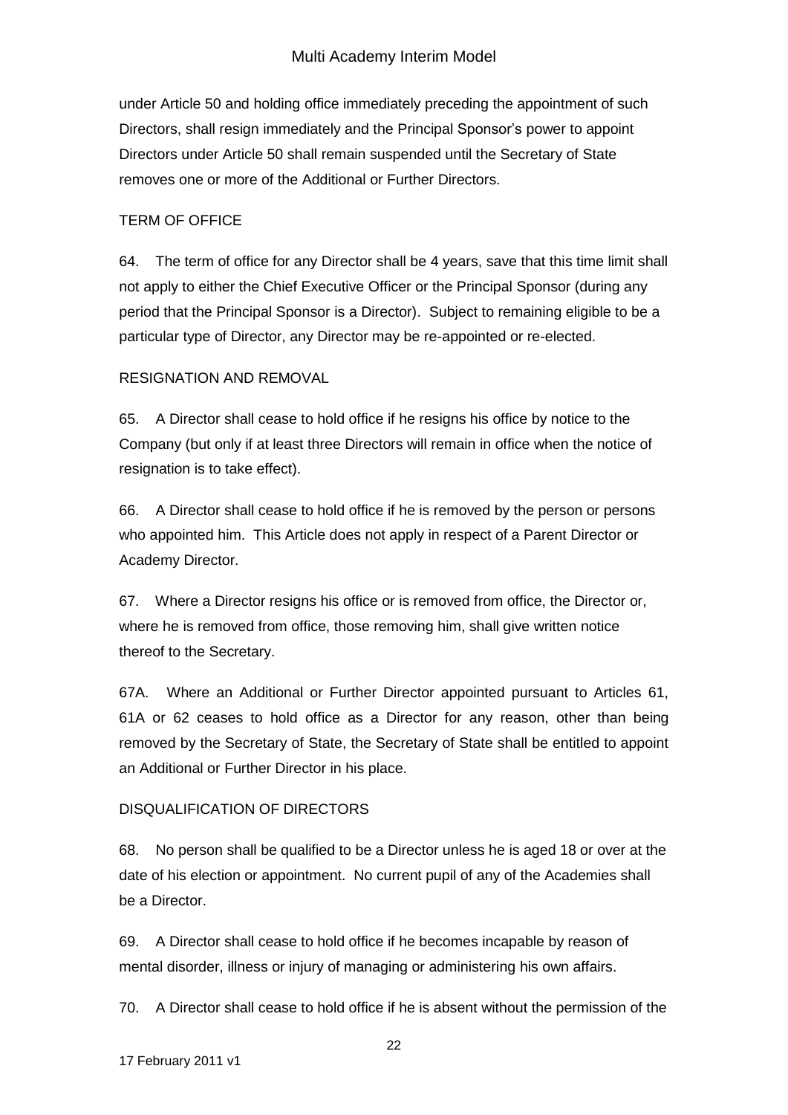under Article 50 and holding office immediately preceding the appointment of such Directors, shall resign immediately and the Principal Sponsor's power to appoint Directors under Article 50 shall remain suspended until the Secretary of State removes one or more of the Additional or Further Directors.

### TERM OF OFFICE

64. The term of office for any Director shall be 4 years, save that this time limit shall not apply to either the Chief Executive Officer or the Principal Sponsor (during any period that the Principal Sponsor is a Director). Subject to remaining eligible to be a particular type of Director, any Director may be re-appointed or re-elected.

### RESIGNATION AND REMOVAL

65. A Director shall cease to hold office if he resigns his office by notice to the Company (but only if at least three Directors will remain in office when the notice of resignation is to take effect).

66. A Director shall cease to hold office if he is removed by the person or persons who appointed him. This Article does not apply in respect of a Parent Director or Academy Director.

67. Where a Director resigns his office or is removed from office, the Director or, where he is removed from office, those removing him, shall give written notice thereof to the Secretary.

67A. Where an Additional or Further Director appointed pursuant to Articles 61, 61A or 62 ceases to hold office as a Director for any reason, other than being removed by the Secretary of State, the Secretary of State shall be entitled to appoint an Additional or Further Director in his place.

## DISQUALIFICATION OF DIRECTORS

68. No person shall be qualified to be a Director unless he is aged 18 or over at the date of his election or appointment. No current pupil of any of the Academies shall be a Director.

69. A Director shall cease to hold office if he becomes incapable by reason of mental disorder, illness or injury of managing or administering his own affairs.

70. A Director shall cease to hold office if he is absent without the permission of the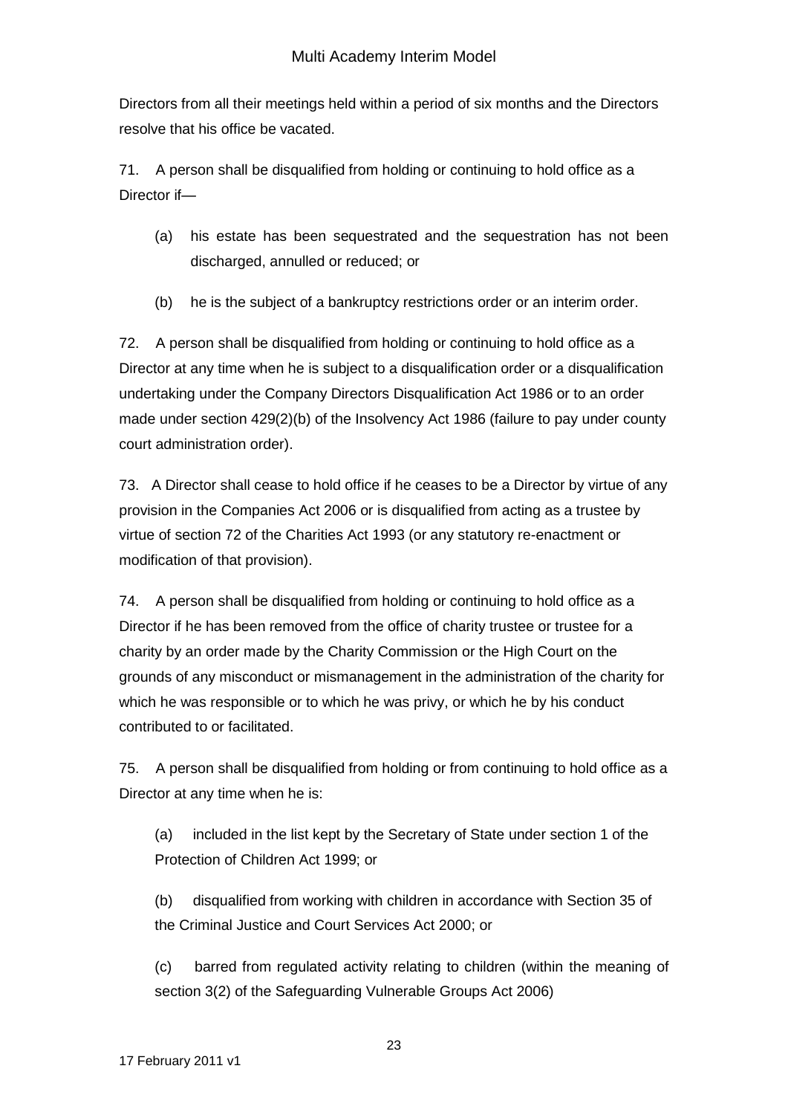Directors from all their meetings held within a period of six months and the Directors resolve that his office be vacated.

71. A person shall be disqualified from holding or continuing to hold office as a Director if—

- (a) his estate has been sequestrated and the sequestration has not been discharged, annulled or reduced; or
- (b) he is the subject of a bankruptcy restrictions order or an interim order.

72. A person shall be disqualified from holding or continuing to hold office as a Director at any time when he is subject to a disqualification order or a disqualification undertaking under the Company Directors Disqualification Act 1986 or to an order made under section 429(2)(b) of the Insolvency Act 1986 (failure to pay under county court administration order).

73. A Director shall cease to hold office if he ceases to be a Director by virtue of any provision in the Companies Act 2006 or is disqualified from acting as a trustee by virtue of section 72 of the Charities Act 1993 (or any statutory re-enactment or modification of that provision).

74. A person shall be disqualified from holding or continuing to hold office as a Director if he has been removed from the office of charity trustee or trustee for a charity by an order made by the Charity Commission or the High Court on the grounds of any misconduct or mismanagement in the administration of the charity for which he was responsible or to which he was privy, or which he by his conduct contributed to or facilitated.

75. A person shall be disqualified from holding or from continuing to hold office as a Director at any time when he is:

(a) included in the list kept by the Secretary of State under section 1 of the Protection of Children Act 1999; or

(b) disqualified from working with children in accordance with Section 35 of the Criminal Justice and Court Services Act 2000; or

(c) barred from regulated activity relating to children (within the meaning of section 3(2) of the Safeguarding Vulnerable Groups Act 2006)

23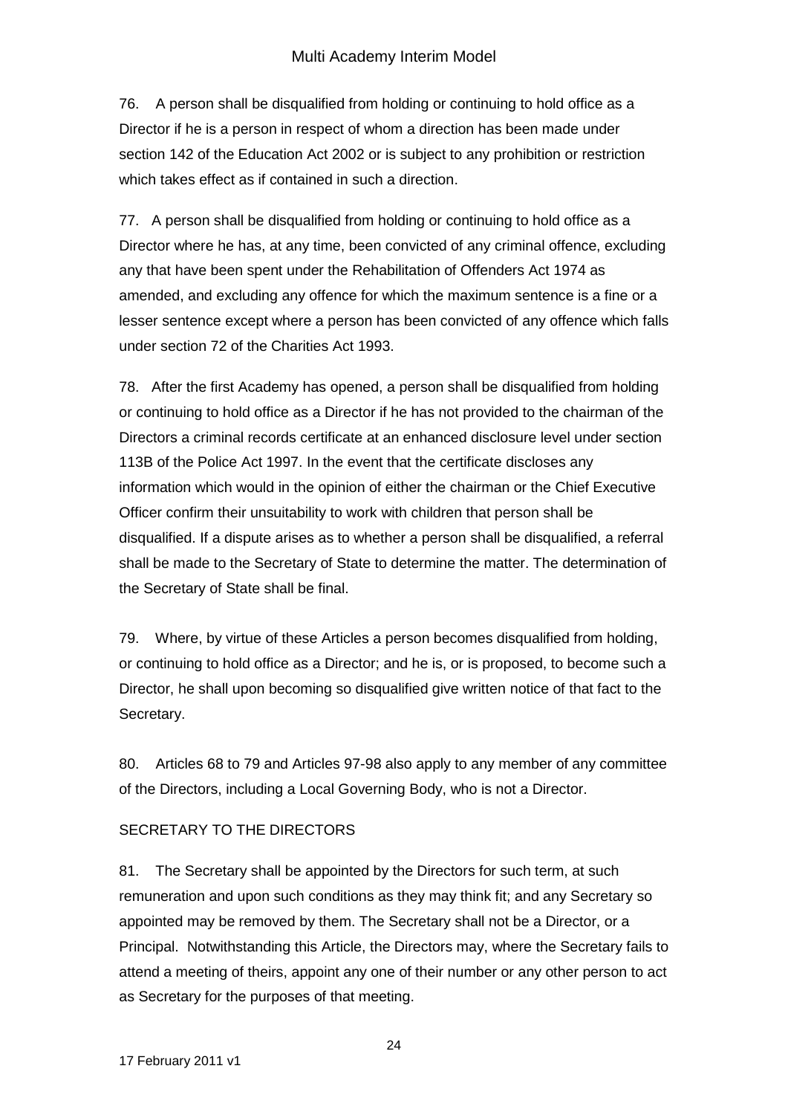76. A person shall be disqualified from holding or continuing to hold office as a Director if he is a person in respect of whom a direction has been made under section 142 of the Education Act 2002 or is subject to any prohibition or restriction which takes effect as if contained in such a direction.

77. A person shall be disqualified from holding or continuing to hold office as a Director where he has, at any time, been convicted of any criminal offence, excluding any that have been spent under the Rehabilitation of Offenders Act 1974 as amended, and excluding any offence for which the maximum sentence is a fine or a lesser sentence except where a person has been convicted of any offence which falls under section 72 of the Charities Act 1993.

78. After the first Academy has opened, a person shall be disqualified from holding or continuing to hold office as a Director if he has not provided to the chairman of the Directors a criminal records certificate at an enhanced disclosure level under section 113B of the Police Act 1997. In the event that the certificate discloses any information which would in the opinion of either the chairman or the Chief Executive Officer confirm their unsuitability to work with children that person shall be disqualified. If a dispute arises as to whether a person shall be disqualified, a referral shall be made to the Secretary of State to determine the matter. The determination of the Secretary of State shall be final.

79. Where, by virtue of these Articles a person becomes disqualified from holding, or continuing to hold office as a Director; and he is, or is proposed, to become such a Director, he shall upon becoming so disqualified give written notice of that fact to the Secretary.

80. Articles 68 to 79 and Articles 97-98 also apply to any member of any committee of the Directors, including a Local Governing Body, who is not a Director.

## SECRETARY TO THE DIRECTORS

81. The Secretary shall be appointed by the Directors for such term, at such remuneration and upon such conditions as they may think fit; and any Secretary so appointed may be removed by them. The Secretary shall not be a Director, or a Principal. Notwithstanding this Article, the Directors may, where the Secretary fails to attend a meeting of theirs, appoint any one of their number or any other person to act as Secretary for the purposes of that meeting.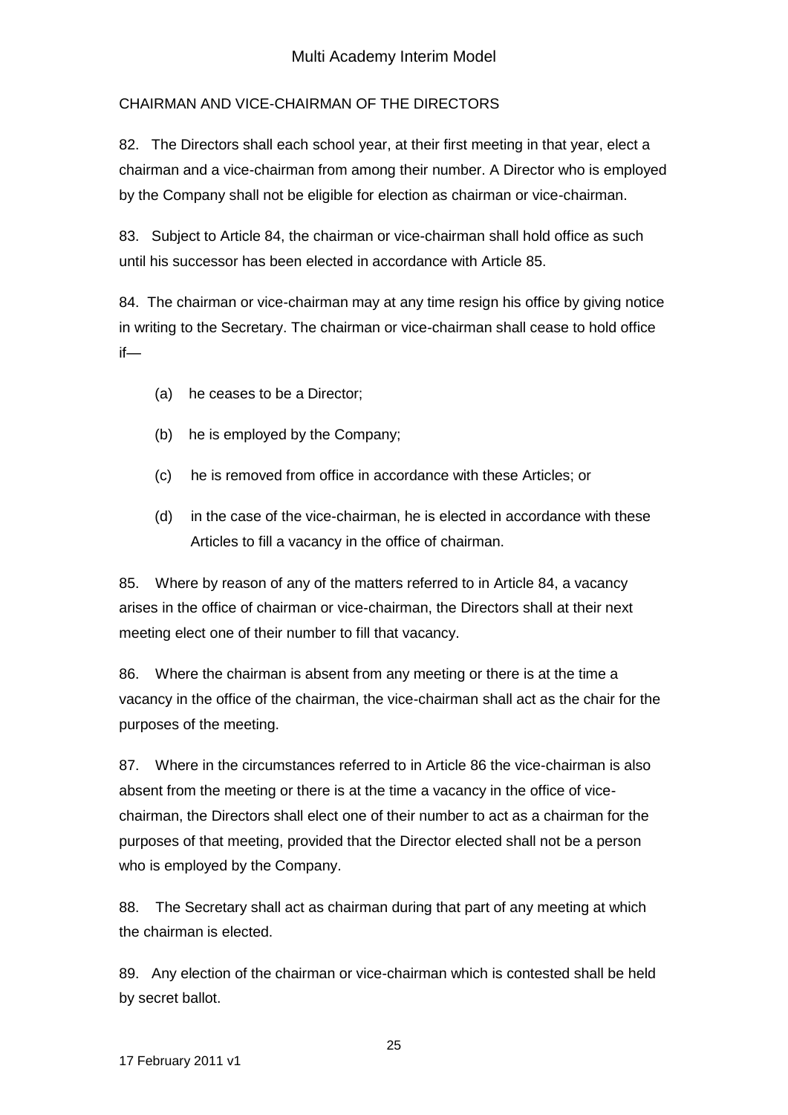# CHAIRMAN AND VICE-CHAIRMAN OF THE DIRECTORS

82. The Directors shall each school year, at their first meeting in that year, elect a chairman and a vice-chairman from among their number. A Director who is employed by the Company shall not be eligible for election as chairman or vice-chairman.

83. Subject to Article 84, the chairman or vice-chairman shall hold office as such until his successor has been elected in accordance with Article 85.

84. The chairman or vice-chairman may at any time resign his office by giving notice in writing to the Secretary. The chairman or vice-chairman shall cease to hold office if—

- (a) he ceases to be a Director;
- (b) he is employed by the Company;
- (c) he is removed from office in accordance with these Articles; or
- (d) in the case of the vice-chairman, he is elected in accordance with these Articles to fill a vacancy in the office of chairman.

85. Where by reason of any of the matters referred to in Article 84, a vacancy arises in the office of chairman or vice-chairman, the Directors shall at their next meeting elect one of their number to fill that vacancy.

86. Where the chairman is absent from any meeting or there is at the time a vacancy in the office of the chairman, the vice-chairman shall act as the chair for the purposes of the meeting.

87. Where in the circumstances referred to in Article 86 the vice-chairman is also absent from the meeting or there is at the time a vacancy in the office of vicechairman, the Directors shall elect one of their number to act as a chairman for the purposes of that meeting, provided that the Director elected shall not be a person who is employed by the Company.

88. The Secretary shall act as chairman during that part of any meeting at which the chairman is elected.

89. Any election of the chairman or vice-chairman which is contested shall be held by secret ballot.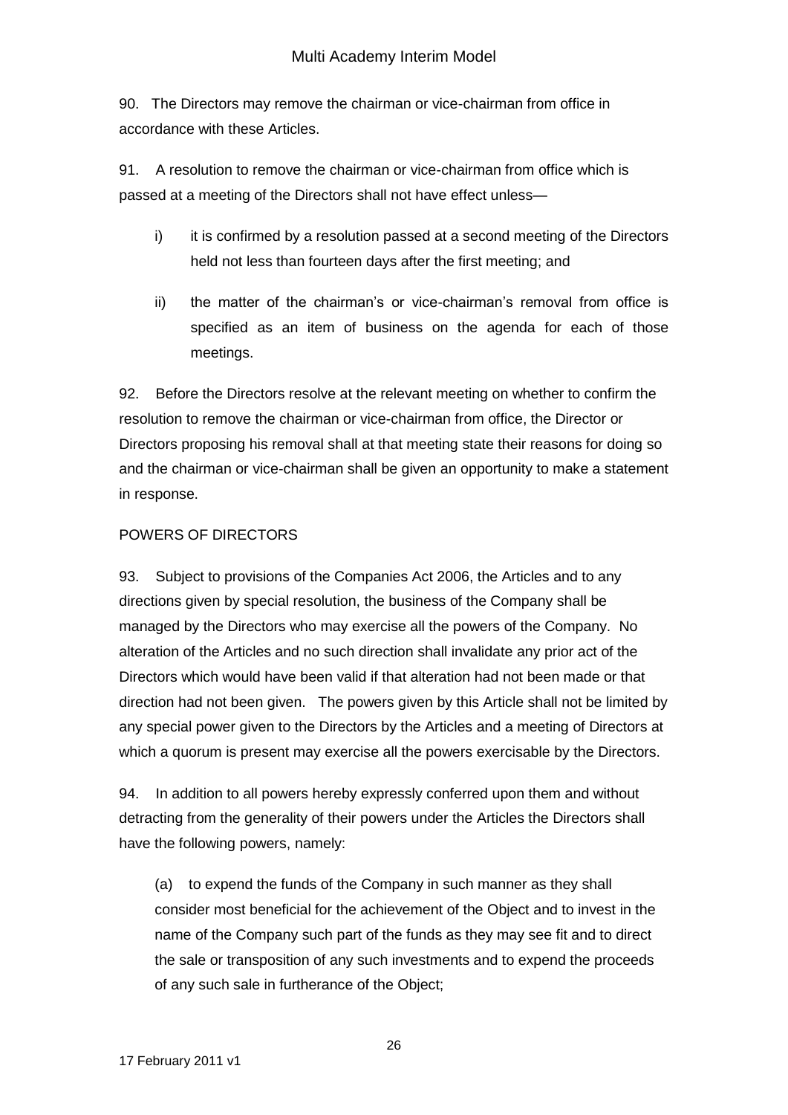90. The Directors may remove the chairman or vice-chairman from office in accordance with these Articles.

91. A resolution to remove the chairman or vice-chairman from office which is passed at a meeting of the Directors shall not have effect unless—

- i) it is confirmed by a resolution passed at a second meeting of the Directors held not less than fourteen days after the first meeting; and
- ii) the matter of the chairman's or vice-chairman's removal from office is specified as an item of business on the agenda for each of those meetings.

92. Before the Directors resolve at the relevant meeting on whether to confirm the resolution to remove the chairman or vice-chairman from office, the Director or Directors proposing his removal shall at that meeting state their reasons for doing so and the chairman or vice-chairman shall be given an opportunity to make a statement in response.

## POWERS OF DIRECTORS

93. Subject to provisions of the Companies Act 2006, the Articles and to any directions given by special resolution, the business of the Company shall be managed by the Directors who may exercise all the powers of the Company. No alteration of the Articles and no such direction shall invalidate any prior act of the Directors which would have been valid if that alteration had not been made or that direction had not been given. The powers given by this Article shall not be limited by any special power given to the Directors by the Articles and a meeting of Directors at which a quorum is present may exercise all the powers exercisable by the Directors.

94. In addition to all powers hereby expressly conferred upon them and without detracting from the generality of their powers under the Articles the Directors shall have the following powers, namely:

(a) to expend the funds of the Company in such manner as they shall consider most beneficial for the achievement of the Object and to invest in the name of the Company such part of the funds as they may see fit and to direct the sale or transposition of any such investments and to expend the proceeds of any such sale in furtherance of the Object;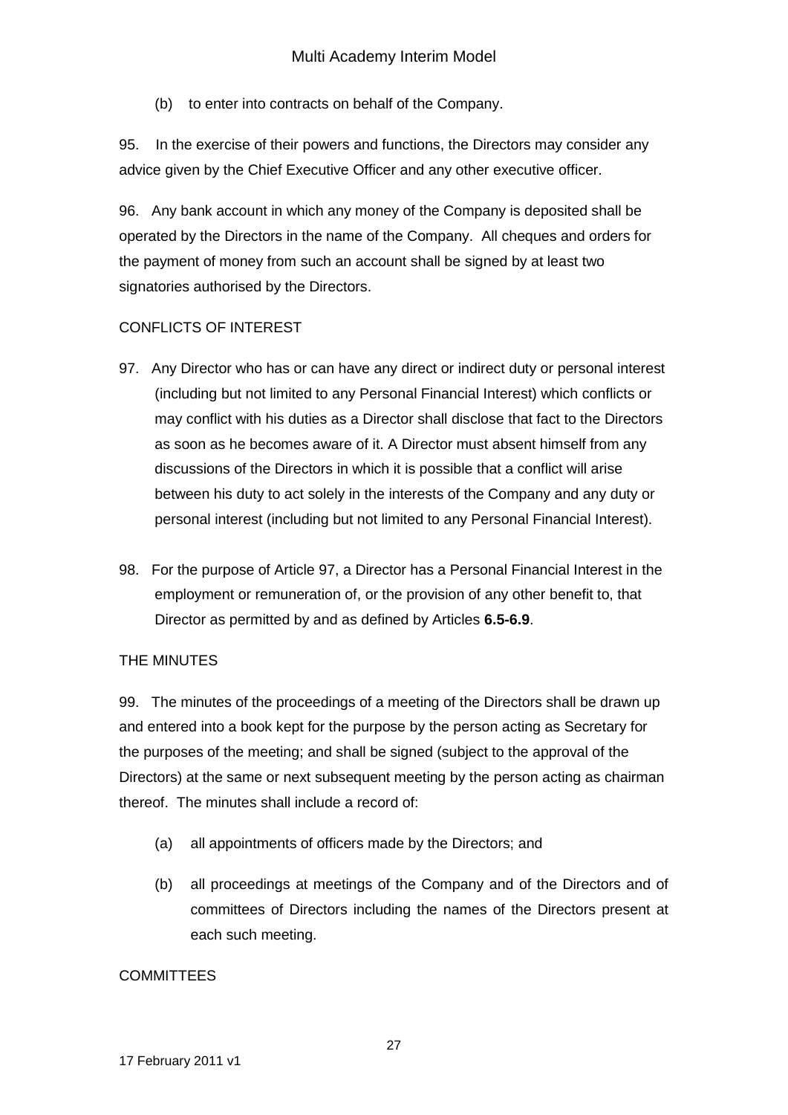(b) to enter into contracts on behalf of the Company.

95. In the exercise of their powers and functions, the Directors may consider any advice given by the Chief Executive Officer and any other executive officer.

96. Any bank account in which any money of the Company is deposited shall be operated by the Directors in the name of the Company. All cheques and orders for the payment of money from such an account shall be signed by at least two signatories authorised by the Directors.

## CONFLICTS OF INTEREST

- 97. Any Director who has or can have any direct or indirect duty or personal interest (including but not limited to any Personal Financial Interest) which conflicts or may conflict with his duties as a Director shall disclose that fact to the Directors as soon as he becomes aware of it. A Director must absent himself from any discussions of the Directors in which it is possible that a conflict will arise between his duty to act solely in the interests of the Company and any duty or personal interest (including but not limited to any Personal Financial Interest).
- 98. For the purpose of Article 97, a Director has a Personal Financial Interest in the employment or remuneration of, or the provision of any other benefit to, that Director as permitted by and as defined by Articles **6.5-6.9**.

## THE MINUTES

99. The minutes of the proceedings of a meeting of the Directors shall be drawn up and entered into a book kept for the purpose by the person acting as Secretary for the purposes of the meeting; and shall be signed (subject to the approval of the Directors) at the same or next subsequent meeting by the person acting as chairman thereof. The minutes shall include a record of:

- (a) all appointments of officers made by the Directors; and
- (b) all proceedings at meetings of the Company and of the Directors and of committees of Directors including the names of the Directors present at each such meeting.

## **COMMITTEES**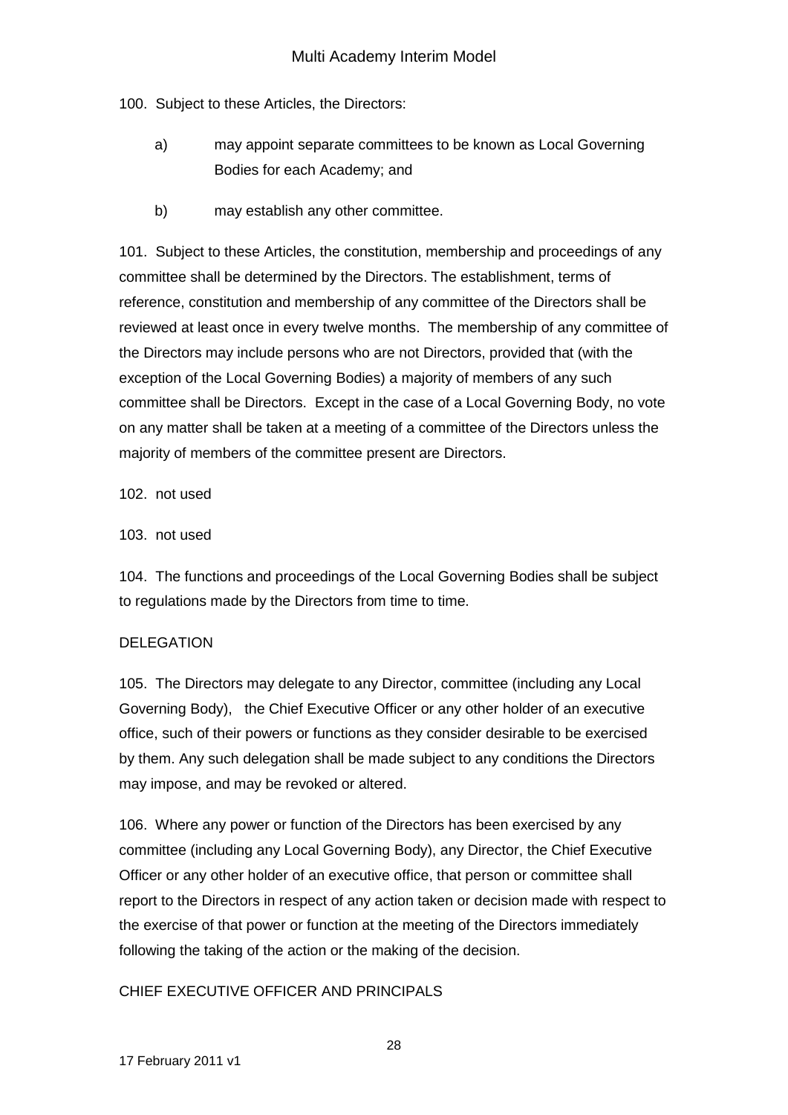100. Subject to these Articles, the Directors:

- a) may appoint separate committees to be known as Local Governing Bodies for each Academy; and
- b) may establish any other committee.

101. Subject to these Articles, the constitution, membership and proceedings of any committee shall be determined by the Directors. The establishment, terms of reference, constitution and membership of any committee of the Directors shall be reviewed at least once in every twelve months. The membership of any committee of the Directors may include persons who are not Directors, provided that (with the exception of the Local Governing Bodies) a majority of members of any such committee shall be Directors. Except in the case of a Local Governing Body, no vote on any matter shall be taken at a meeting of a committee of the Directors unless the majority of members of the committee present are Directors.

102. not used

### 103. not used

104. The functions and proceedings of the Local Governing Bodies shall be subject to regulations made by the Directors from time to time.

## DELEGATION

105. The Directors may delegate to any Director, committee (including any Local Governing Body), the Chief Executive Officer or any other holder of an executive office, such of their powers or functions as they consider desirable to be exercised by them. Any such delegation shall be made subject to any conditions the Directors may impose, and may be revoked or altered.

106. Where any power or function of the Directors has been exercised by any committee (including any Local Governing Body), any Director, the Chief Executive Officer or any other holder of an executive office, that person or committee shall report to the Directors in respect of any action taken or decision made with respect to the exercise of that power or function at the meeting of the Directors immediately following the taking of the action or the making of the decision.

## CHIEF EXECUTIVE OFFICER AND PRINCIPALS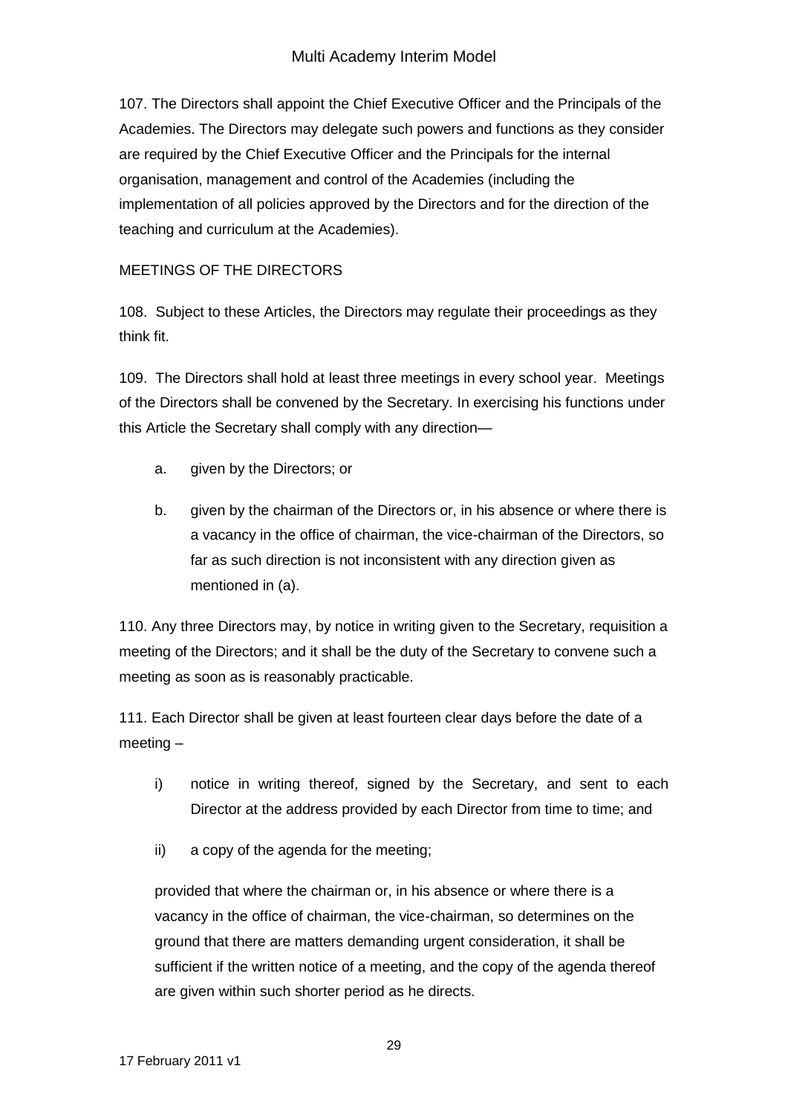107. The Directors shall appoint the Chief Executive Officer and the Principals of the Academies. The Directors may delegate such powers and functions as they consider are required by the Chief Executive Officer and the Principals for the internal organisation, management and control of the Academies (including the implementation of all policies approved by the Directors and for the direction of the teaching and curriculum at the Academies).

# MEETINGS OF THE DIRECTORS

108. Subject to these Articles, the Directors may regulate their proceedings as they think fit.

109. The Directors shall hold at least three meetings in every school year. Meetings of the Directors shall be convened by the Secretary. In exercising his functions under this Article the Secretary shall comply with any direction—

- a. given by the Directors; or
- b. given by the chairman of the Directors or, in his absence or where there is a vacancy in the office of chairman, the vice-chairman of the Directors, so far as such direction is not inconsistent with any direction given as mentioned in (a).

110. Any three Directors may, by notice in writing given to the Secretary, requisition a meeting of the Directors; and it shall be the duty of the Secretary to convene such a meeting as soon as is reasonably practicable.

111. Each Director shall be given at least fourteen clear days before the date of a meeting –

- i) notice in writing thereof, signed by the Secretary, and sent to each Director at the address provided by each Director from time to time; and
- ii) a copy of the agenda for the meeting;

provided that where the chairman or, in his absence or where there is a vacancy in the office of chairman, the vice-chairman, so determines on the ground that there are matters demanding urgent consideration, it shall be sufficient if the written notice of a meeting, and the copy of the agenda thereof are given within such shorter period as he directs.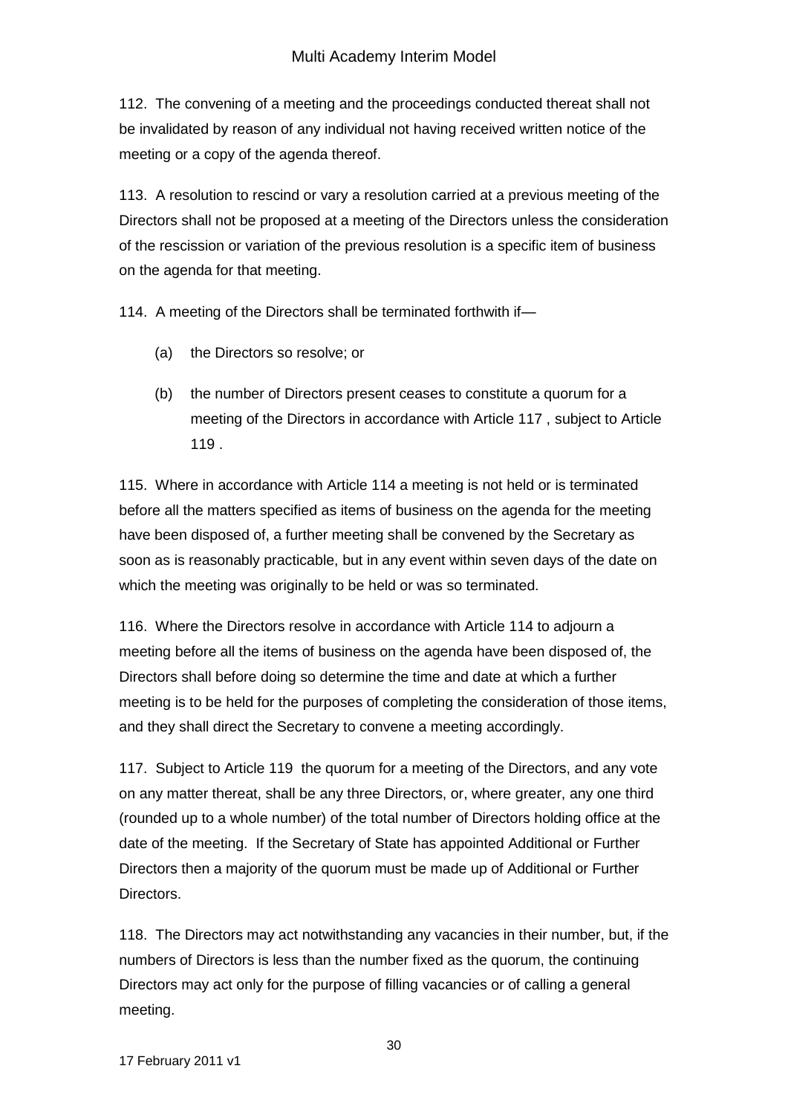112. The convening of a meeting and the proceedings conducted thereat shall not be invalidated by reason of any individual not having received written notice of the meeting or a copy of the agenda thereof.

113. A resolution to rescind or vary a resolution carried at a previous meeting of the Directors shall not be proposed at a meeting of the Directors unless the consideration of the rescission or variation of the previous resolution is a specific item of business on the agenda for that meeting.

114. A meeting of the Directors shall be terminated forthwith if—

- (a) the Directors so resolve; or
- (b) the number of Directors present ceases to constitute a quorum for a meeting of the Directors in accordance with Article 117 , subject to Article 119 .

115. Where in accordance with Article 114 a meeting is not held or is terminated before all the matters specified as items of business on the agenda for the meeting have been disposed of, a further meeting shall be convened by the Secretary as soon as is reasonably practicable, but in any event within seven days of the date on which the meeting was originally to be held or was so terminated.

116. Where the Directors resolve in accordance with Article 114 to adjourn a meeting before all the items of business on the agenda have been disposed of, the Directors shall before doing so determine the time and date at which a further meeting is to be held for the purposes of completing the consideration of those items, and they shall direct the Secretary to convene a meeting accordingly.

117. Subject to Article 119 the quorum for a meeting of the Directors, and any vote on any matter thereat, shall be any three Directors, or, where greater, any one third (rounded up to a whole number) of the total number of Directors holding office at the date of the meeting. If the Secretary of State has appointed Additional or Further Directors then a majority of the quorum must be made up of Additional or Further **Directors** 

118. The Directors may act notwithstanding any vacancies in their number, but, if the numbers of Directors is less than the number fixed as the quorum, the continuing Directors may act only for the purpose of filling vacancies or of calling a general meeting.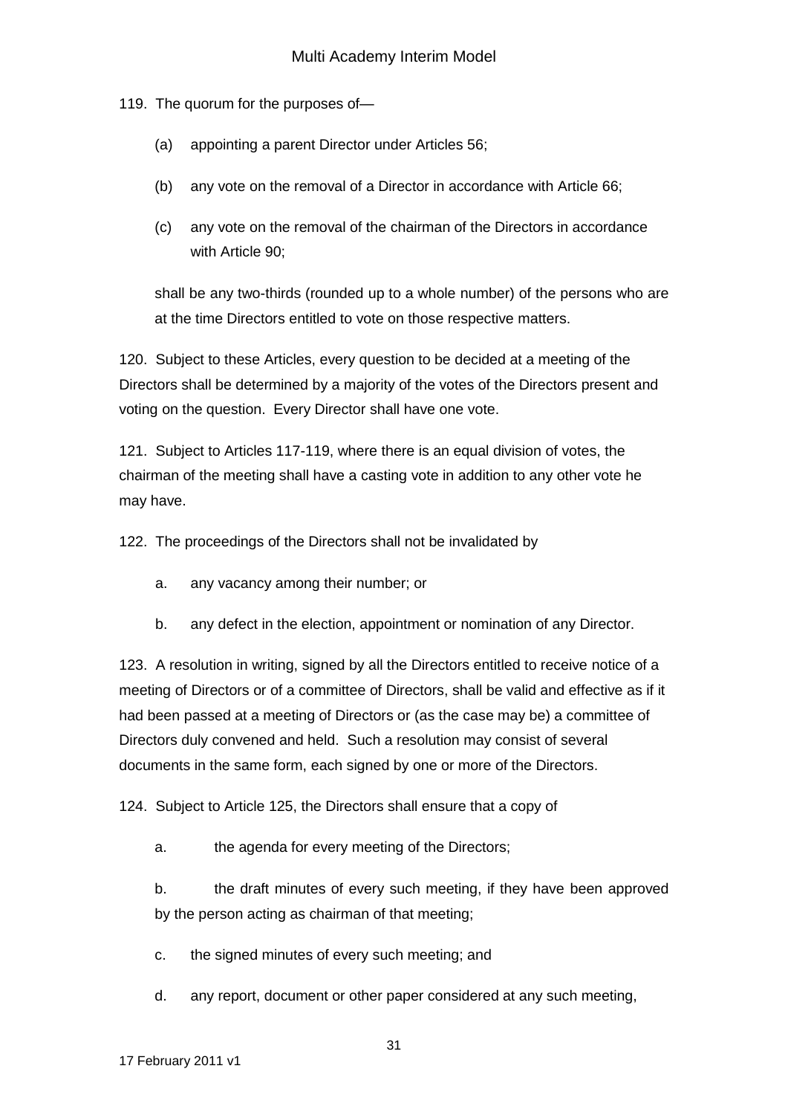119. The quorum for the purposes of—

- (a) appointing a parent Director under Articles 56;
- (b) any vote on the removal of a Director in accordance with Article 66;
- (c) any vote on the removal of the chairman of the Directors in accordance with Article 90;

shall be any two-thirds (rounded up to a whole number) of the persons who are at the time Directors entitled to vote on those respective matters.

120. Subject to these Articles, every question to be decided at a meeting of the Directors shall be determined by a majority of the votes of the Directors present and voting on the question. Every Director shall have one vote.

121. Subject to Articles 117-119, where there is an equal division of votes, the chairman of the meeting shall have a casting vote in addition to any other vote he may have.

122. The proceedings of the Directors shall not be invalidated by

- a. any vacancy among their number; or
- b. any defect in the election, appointment or nomination of any Director.

123. A resolution in writing, signed by all the Directors entitled to receive notice of a meeting of Directors or of a committee of Directors, shall be valid and effective as if it had been passed at a meeting of Directors or (as the case may be) a committee of Directors duly convened and held. Such a resolution may consist of several documents in the same form, each signed by one or more of the Directors.

124. Subject to Article 125, the Directors shall ensure that a copy of

a. the agenda for every meeting of the Directors;

b. the draft minutes of every such meeting, if they have been approved by the person acting as chairman of that meeting;

c. the signed minutes of every such meeting; and

d. any report, document or other paper considered at any such meeting,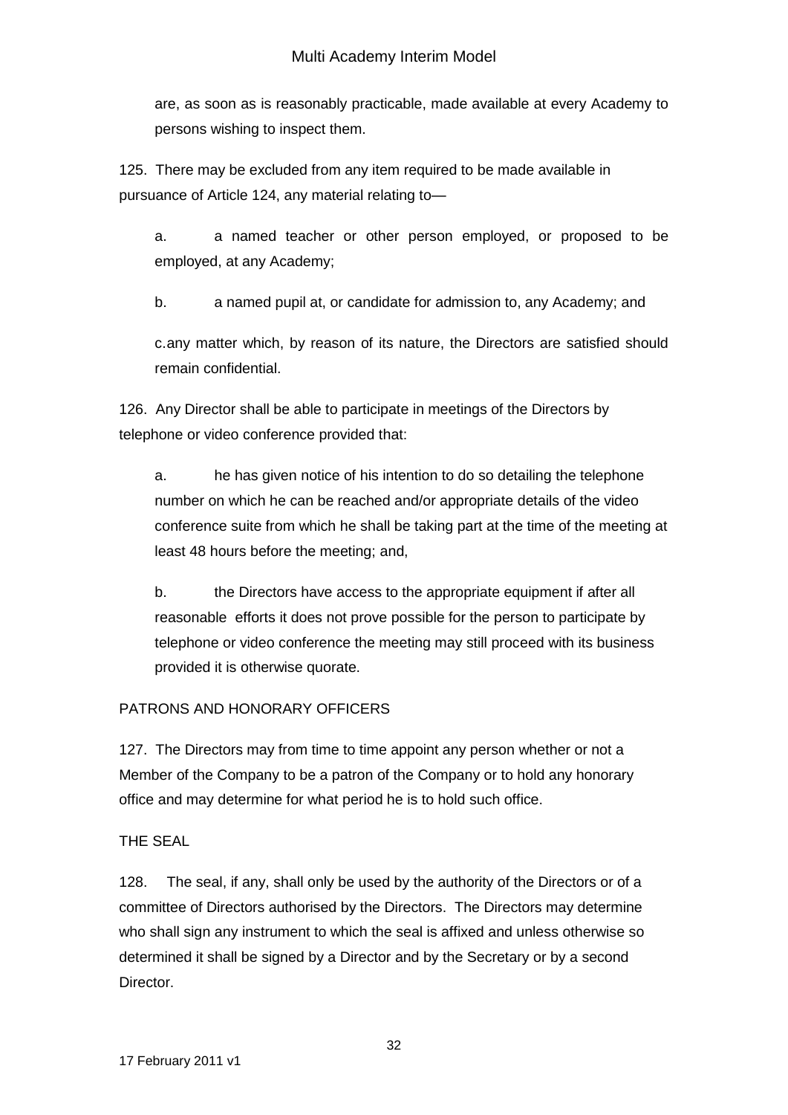are, as soon as is reasonably practicable, made available at every Academy to persons wishing to inspect them.

125. There may be excluded from any item required to be made available in pursuance of Article 124, any material relating to—

a. a named teacher or other person employed, or proposed to be employed, at any Academy;

b. a named pupil at, or candidate for admission to, any Academy; and

c.any matter which, by reason of its nature, the Directors are satisfied should remain confidential.

126. Any Director shall be able to participate in meetings of the Directors by telephone or video conference provided that:

a. he has given notice of his intention to do so detailing the telephone number on which he can be reached and/or appropriate details of the video conference suite from which he shall be taking part at the time of the meeting at least 48 hours before the meeting; and,

b. the Directors have access to the appropriate equipment if after all reasonable efforts it does not prove possible for the person to participate by telephone or video conference the meeting may still proceed with its business provided it is otherwise quorate.

# PATRONS AND HONORARY OFFICERS

127. The Directors may from time to time appoint any person whether or not a Member of the Company to be a patron of the Company or to hold any honorary office and may determine for what period he is to hold such office.

## THE SEAL

128. The seal, if any, shall only be used by the authority of the Directors or of a committee of Directors authorised by the Directors. The Directors may determine who shall sign any instrument to which the seal is affixed and unless otherwise so determined it shall be signed by a Director and by the Secretary or by a second Director.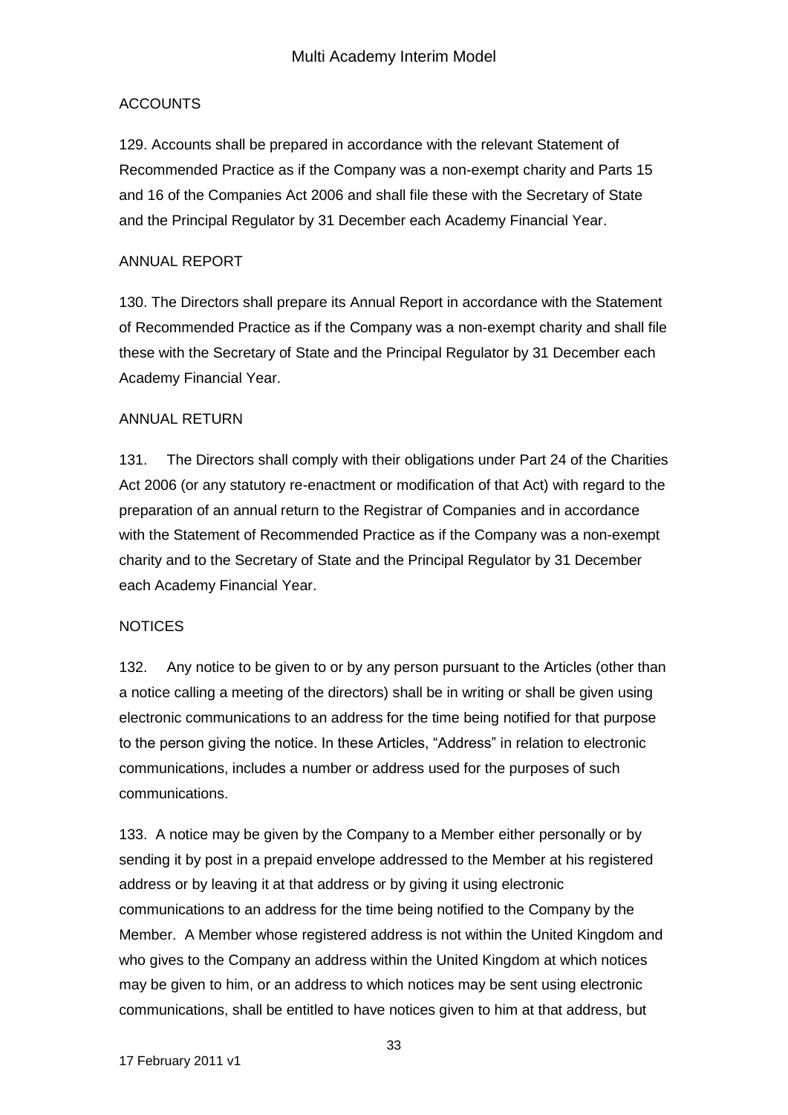### ACCOUNTS

129. Accounts shall be prepared in accordance with the relevant Statement of Recommended Practice as if the Company was a non-exempt charity and Parts 15 and 16 of the Companies Act 2006 and shall file these with the Secretary of State and the Principal Regulator by 31 December each Academy Financial Year.

#### ANNUAL REPORT

130. The Directors shall prepare its Annual Report in accordance with the Statement of Recommended Practice as if the Company was a non-exempt charity and shall file these with the Secretary of State and the Principal Regulator by 31 December each Academy Financial Year.

### ANNUAL RETURN

131. The Directors shall comply with their obligations under Part 24 of the Charities Act 2006 (or any statutory re-enactment or modification of that Act) with regard to the preparation of an annual return to the Registrar of Companies and in accordance with the Statement of Recommended Practice as if the Company was a non-exempt charity and to the Secretary of State and the Principal Regulator by 31 December each Academy Financial Year.

## **NOTICES**

132. Any notice to be given to or by any person pursuant to the Articles (other than a notice calling a meeting of the directors) shall be in writing or shall be given using electronic communications to an address for the time being notified for that purpose to the person giving the notice. In these Articles, "Address" in relation to electronic communications, includes a number or address used for the purposes of such communications.

133. A notice may be given by the Company to a Member either personally or by sending it by post in a prepaid envelope addressed to the Member at his registered address or by leaving it at that address or by giving it using electronic communications to an address for the time being notified to the Company by the Member. A Member whose registered address is not within the United Kingdom and who gives to the Company an address within the United Kingdom at which notices may be given to him, or an address to which notices may be sent using electronic communications, shall be entitled to have notices given to him at that address, but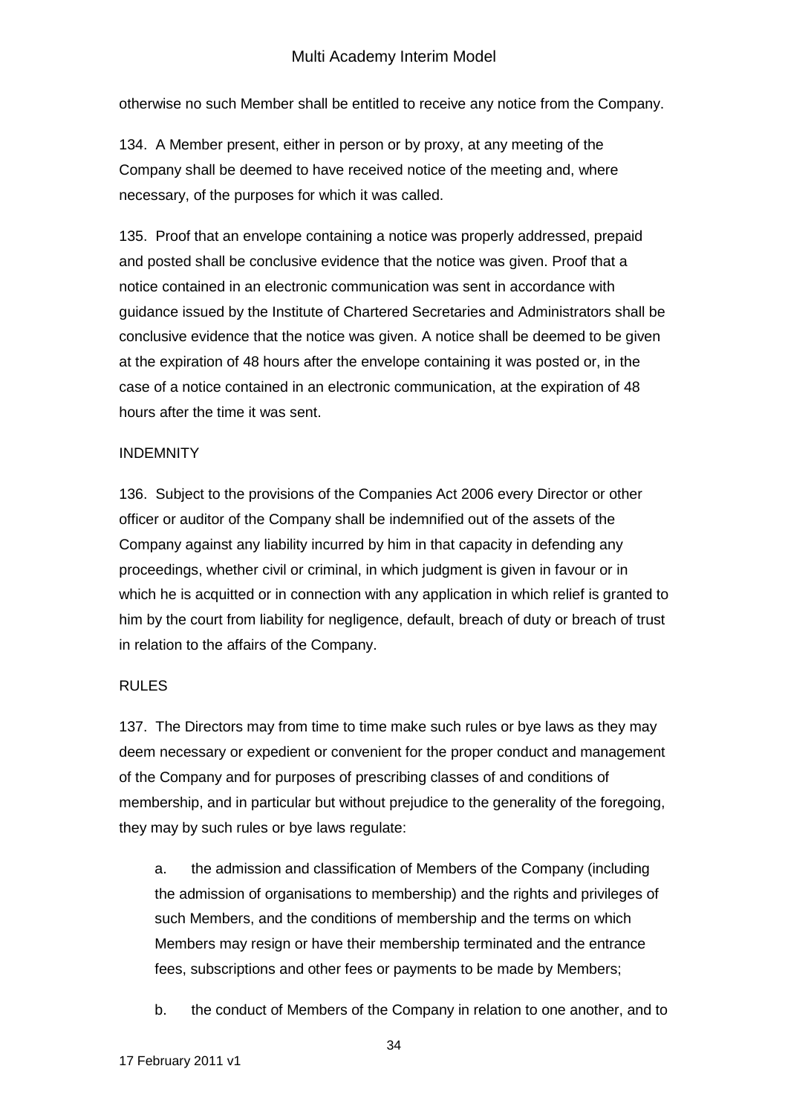otherwise no such Member shall be entitled to receive any notice from the Company.

134. A Member present, either in person or by proxy, at any meeting of the Company shall be deemed to have received notice of the meeting and, where necessary, of the purposes for which it was called.

135. Proof that an envelope containing a notice was properly addressed, prepaid and posted shall be conclusive evidence that the notice was given. Proof that a notice contained in an electronic communication was sent in accordance with guidance issued by the Institute of Chartered Secretaries and Administrators shall be conclusive evidence that the notice was given. A notice shall be deemed to be given at the expiration of 48 hours after the envelope containing it was posted or, in the case of a notice contained in an electronic communication, at the expiration of 48 hours after the time it was sent.

### **INDEMNITY**

136. Subject to the provisions of the Companies Act 2006 every Director or other officer or auditor of the Company shall be indemnified out of the assets of the Company against any liability incurred by him in that capacity in defending any proceedings, whether civil or criminal, in which judgment is given in favour or in which he is acquitted or in connection with any application in which relief is granted to him by the court from liability for negligence, default, breach of duty or breach of trust in relation to the affairs of the Company.

## RULES

137. The Directors may from time to time make such rules or bye laws as they may deem necessary or expedient or convenient for the proper conduct and management of the Company and for purposes of prescribing classes of and conditions of membership, and in particular but without prejudice to the generality of the foregoing, they may by such rules or bye laws regulate:

a. the admission and classification of Members of the Company (including the admission of organisations to membership) and the rights and privileges of such Members, and the conditions of membership and the terms on which Members may resign or have their membership terminated and the entrance fees, subscriptions and other fees or payments to be made by Members;

b. the conduct of Members of the Company in relation to one another, and to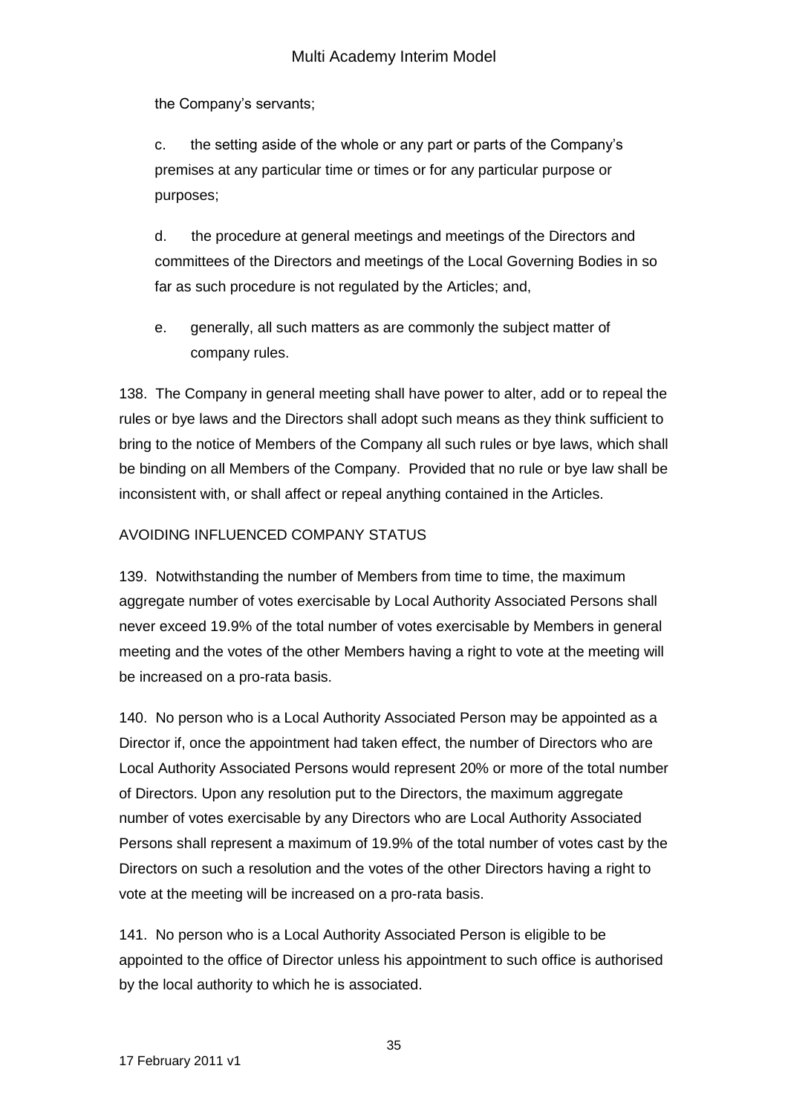the Company's servants;

c. the setting aside of the whole or any part or parts of the Company's premises at any particular time or times or for any particular purpose or purposes;

d. the procedure at general meetings and meetings of the Directors and committees of the Directors and meetings of the Local Governing Bodies in so far as such procedure is not regulated by the Articles; and,

e. generally, all such matters as are commonly the subject matter of company rules.

138. The Company in general meeting shall have power to alter, add or to repeal the rules or bye laws and the Directors shall adopt such means as they think sufficient to bring to the notice of Members of the Company all such rules or bye laws, which shall be binding on all Members of the Company. Provided that no rule or bye law shall be inconsistent with, or shall affect or repeal anything contained in the Articles.

## AVOIDING INFLUENCED COMPANY STATUS

139. Notwithstanding the number of Members from time to time, the maximum aggregate number of votes exercisable by Local Authority Associated Persons shall never exceed 19.9% of the total number of votes exercisable by Members in general meeting and the votes of the other Members having a right to vote at the meeting will be increased on a pro-rata basis.

140. No person who is a Local Authority Associated Person may be appointed as a Director if, once the appointment had taken effect, the number of Directors who are Local Authority Associated Persons would represent 20% or more of the total number of Directors. Upon any resolution put to the Directors, the maximum aggregate number of votes exercisable by any Directors who are Local Authority Associated Persons shall represent a maximum of 19.9% of the total number of votes cast by the Directors on such a resolution and the votes of the other Directors having a right to vote at the meeting will be increased on a pro-rata basis.

141. No person who is a Local Authority Associated Person is eligible to be appointed to the office of Director unless his appointment to such office is authorised by the local authority to which he is associated.